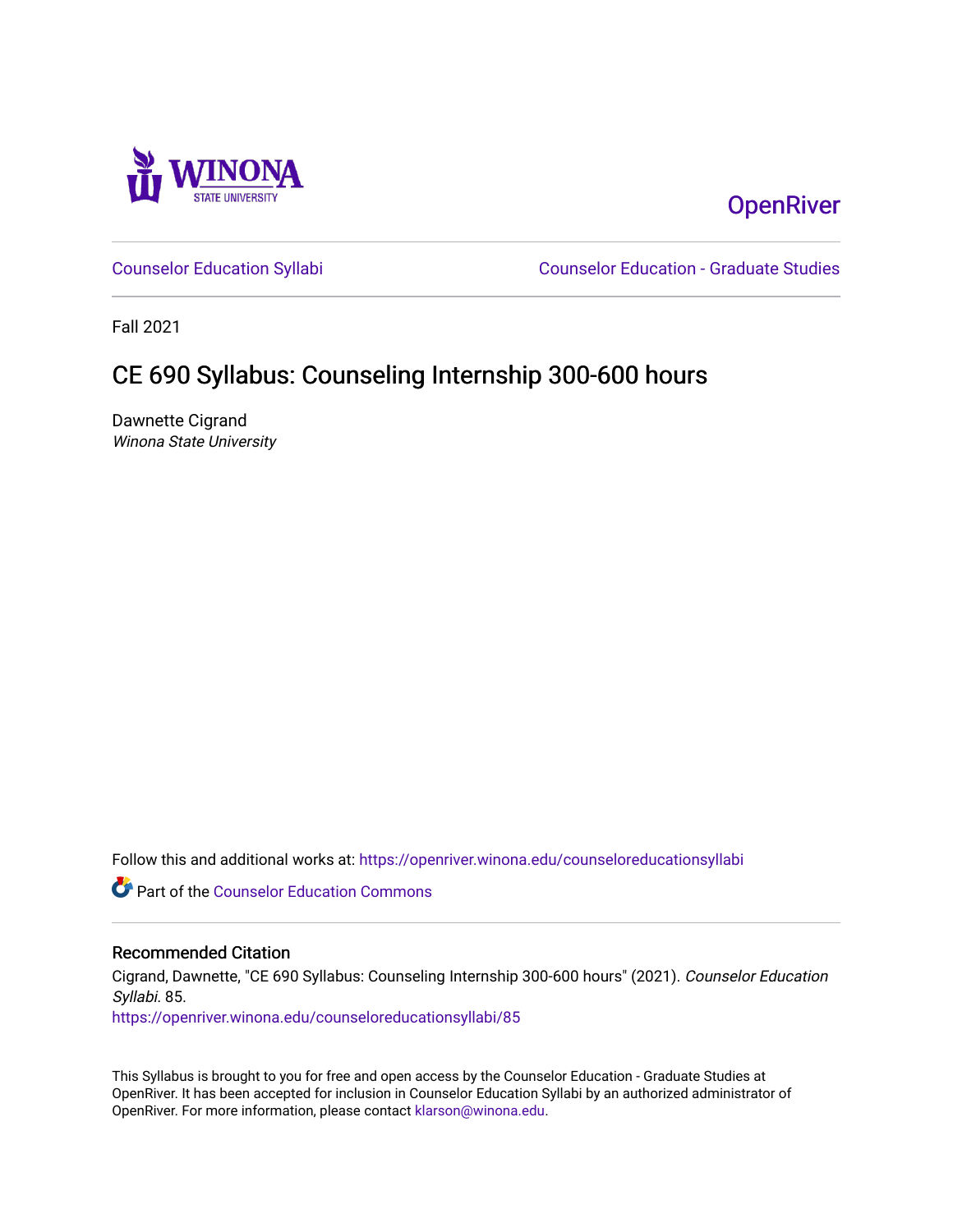

### **OpenRiver**

[Counselor Education Syllabi](https://openriver.winona.edu/counseloreducationsyllabi) [Counselor Education - Graduate Studies](https://openriver.winona.edu/counseloreducation) 

Fall 2021

# CE 690 Syllabus: Counseling Internship 300-600 hours

Dawnette Cigrand Winona State University

Follow this and additional works at: [https://openriver.winona.edu/counseloreducationsyllabi](https://openriver.winona.edu/counseloreducationsyllabi?utm_source=openriver.winona.edu%2Fcounseloreducationsyllabi%2F85&utm_medium=PDF&utm_campaign=PDFCoverPages)

Part of the [Counselor Education Commons](http://network.bepress.com/hgg/discipline/1278?utm_source=openriver.winona.edu%2Fcounseloreducationsyllabi%2F85&utm_medium=PDF&utm_campaign=PDFCoverPages) 

#### Recommended Citation

Cigrand, Dawnette, "CE 690 Syllabus: Counseling Internship 300-600 hours" (2021). Counselor Education Syllabi. 85.

[https://openriver.winona.edu/counseloreducationsyllabi/85](https://openriver.winona.edu/counseloreducationsyllabi/85?utm_source=openriver.winona.edu%2Fcounseloreducationsyllabi%2F85&utm_medium=PDF&utm_campaign=PDFCoverPages) 

This Syllabus is brought to you for free and open access by the Counselor Education - Graduate Studies at OpenRiver. It has been accepted for inclusion in Counselor Education Syllabi by an authorized administrator of OpenRiver. For more information, please contact [klarson@winona.edu](mailto:klarson@winona.edu).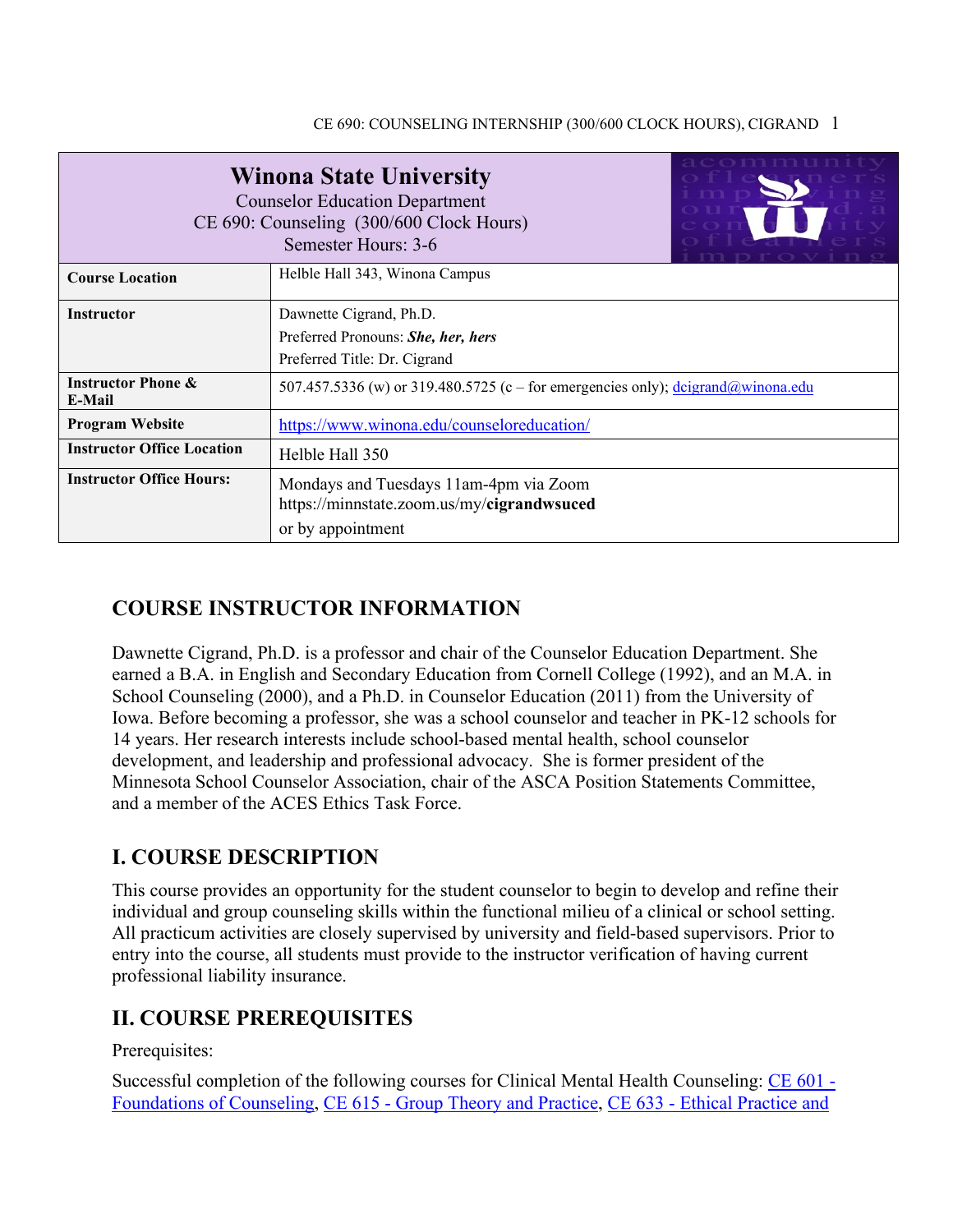| <b>Winona State University</b><br><b>Counselor Education Department</b><br>CE 690: Counseling (300/600 Clock Hours)<br>Semester Hours: 3-6 |                                                                                                             |  |  |  |  |  |  |
|--------------------------------------------------------------------------------------------------------------------------------------------|-------------------------------------------------------------------------------------------------------------|--|--|--|--|--|--|
| <b>Course Location</b>                                                                                                                     | Helble Hall 343, Winona Campus                                                                              |  |  |  |  |  |  |
| <b>Instructor</b>                                                                                                                          | Dawnette Cigrand, Ph.D.<br>Preferred Pronouns: She, her, hers<br>Preferred Title: Dr. Cigrand               |  |  |  |  |  |  |
| <b>Instructor Phone &amp;</b><br>E-Mail                                                                                                    | 507.457.5336 (w) or 319.480.5725 (c – for emergencies only); $\frac{d \text{cigend}}{d \text{winnona.edu}}$ |  |  |  |  |  |  |
| <b>Program Website</b>                                                                                                                     | https://www.winona.edu/counseloreducation/                                                                  |  |  |  |  |  |  |
| <b>Instructor Office Location</b>                                                                                                          | Helble Hall 350                                                                                             |  |  |  |  |  |  |
| <b>Instructor Office Hours:</b>                                                                                                            | Mondays and Tuesdays 11am-4pm via Zoom<br>https://minnstate.zoom.us/my/cigrandwsuced<br>or by appointment   |  |  |  |  |  |  |

### **COURSE INSTRUCTOR INFORMATION**

Dawnette Cigrand, Ph.D. is a professor and chair of the Counselor Education Department. She earned a B.A. in English and Secondary Education from Cornell College (1992), and an M.A. in School Counseling (2000), and a Ph.D. in Counselor Education (2011) from the University of Iowa. Before becoming a professor, she was a school counselor and teacher in PK-12 schools for 14 years. Her research interests include school-based mental health, school counselor development, and leadership and professional advocacy. She is former president of the Minnesota School Counselor Association, chair of the ASCA Position Statements Committee, and a member of the ACES Ethics Task Force.

### **I. COURSE DESCRIPTION**

This course provides an opportunity for the student counselor to begin to develop and refine their individual and group counseling skills within the functional milieu of a clinical or school setting. All practicum activities are closely supervised by university and field-based supervisors. Prior to entry into the course, all students must provide to the instructor verification of having current professional liability insurance.

### **II. COURSE PREREQUISITES**

Prerequisites:

Successful completion of the following courses for Clinical Mental Health Counseling: [CE 601 -](http://catalog.winona.edu/preview_program.php?catoid=17&poid=3390#tt1627) [Foundations of Counseling,](http://catalog.winona.edu/preview_program.php?catoid=17&poid=3390#tt1627) CE 615 - [Group Theory and Practice,](http://catalog.winona.edu/preview_program.php?catoid=17&poid=3390#tt8147) CE 633 - [Ethical Practice and](http://catalog.winona.edu/preview_program.php?catoid=17&poid=3390#tt2703)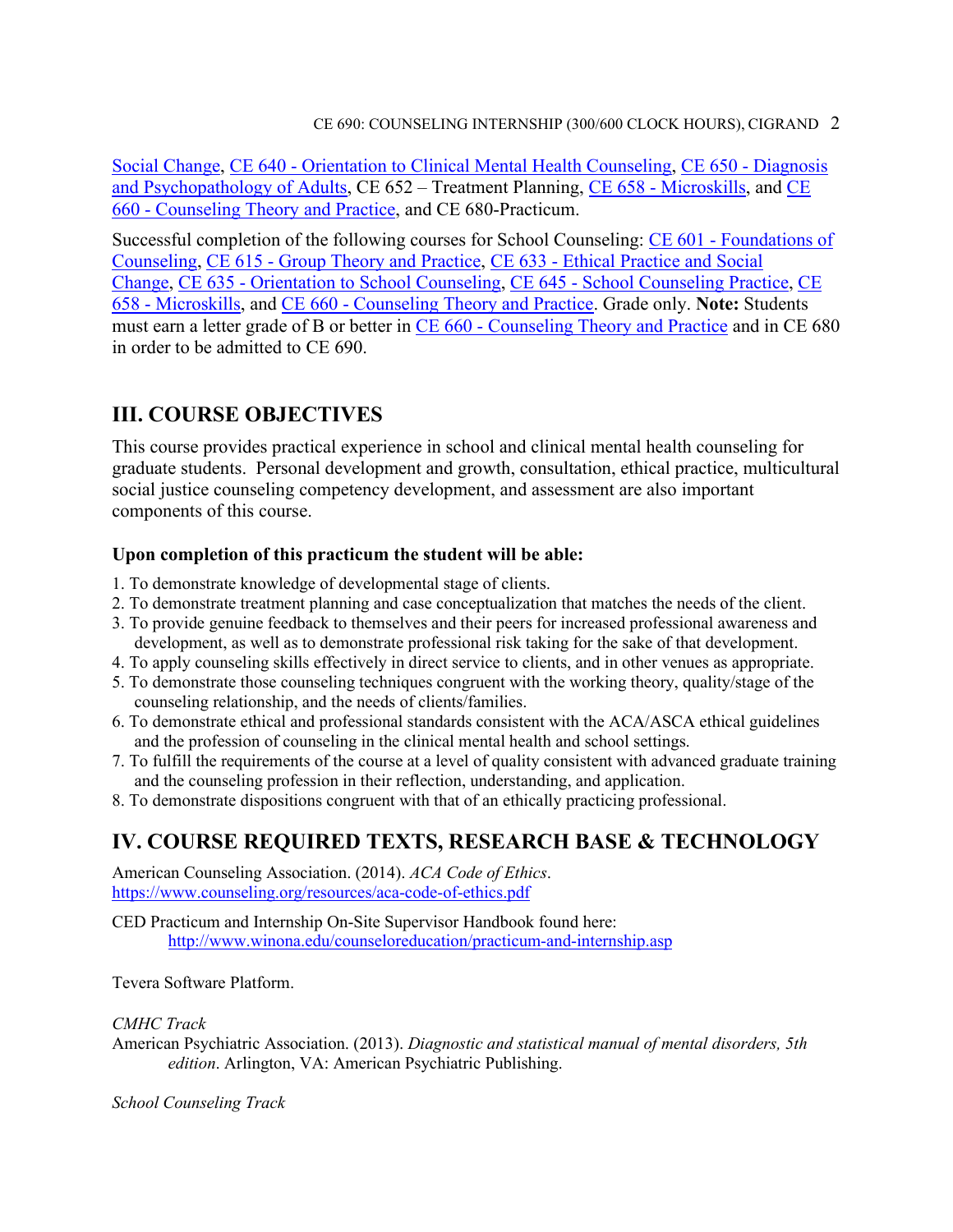[Social Change,](http://catalog.winona.edu/preview_program.php?catoid=17&poid=3390#tt2703) CE 640 - [Orientation to Clinical Mental Health Counseling,](http://catalog.winona.edu/preview_program.php?catoid=17&poid=3390#tt8968) CE 650 - [Diagnosis](http://catalog.winona.edu/preview_program.php?catoid=17&poid=3390#tt7079)  [and Psychopathology of Adults,](http://catalog.winona.edu/preview_program.php?catoid=17&poid=3390#tt7079) CE 652 – Treatment Planning, CE 658 - [Microskills,](http://catalog.winona.edu/preview_program.php?catoid=17&poid=3390#tt2443) and [CE](http://catalog.winona.edu/preview_program.php?catoid=17&poid=3390#tt8574)  660 - [Counseling Theory and Practice,](http://catalog.winona.edu/preview_program.php?catoid=17&poid=3390#tt8574) and CE 680-Practicum.

Successful completion of the following courses for School Counseling: CE 601 - [Foundations of](http://catalog.winona.edu/preview_program.php?catoid=17&poid=3390#tt2270)  [Counseling,](http://catalog.winona.edu/preview_program.php?catoid=17&poid=3390#tt2270) CE 615 - [Group Theory and Practice,](http://catalog.winona.edu/preview_program.php?catoid=17&poid=3390#tt4462) CE 633 - [Ethical Practice and Social](http://catalog.winona.edu/preview_program.php?catoid=17&poid=3390#tt9212)  [Change,](http://catalog.winona.edu/preview_program.php?catoid=17&poid=3390#tt9212) CE 635 - [Orientation to School Counseling,](http://catalog.winona.edu/preview_course_nopop.php?catoid=17&coid=28930) CE 645 - [School Counseling Practice,](http://catalog.winona.edu/preview_program.php?catoid=17&poid=3390#tt4916) [CE](http://catalog.winona.edu/preview_program.php?catoid=17&poid=3390#tt6809)  658 - [Microskills,](http://catalog.winona.edu/preview_program.php?catoid=17&poid=3390#tt6809) and CE 660 - [Counseling Theory and Practice.](http://catalog.winona.edu/preview_program.php?catoid=17&poid=3390#tt9239) Grade only. **Note:** Students must earn a letter grade of B or better in CE 660 - [Counseling Theory and Practice](http://catalog.winona.edu/preview_program.php?catoid=17&poid=3390#tt6572) and in CE 680 in order to be admitted to CE 690.

### **III. COURSE OBJECTIVES**

This course provides practical experience in school and clinical mental health counseling for graduate students. Personal development and growth, consultation, ethical practice, multicultural social justice counseling competency development, and assessment are also important components of this course.

### **Upon completion of this practicum the student will be able:**

- 1. To demonstrate knowledge of developmental stage of clients.
- 2. To demonstrate treatment planning and case conceptualization that matches the needs of the client.
- 3. To provide genuine feedback to themselves and their peers for increased professional awareness and development, as well as to demonstrate professional risk taking for the sake of that development.
- 4. To apply counseling skills effectively in direct service to clients, and in other venues as appropriate.
- 5. To demonstrate those counseling techniques congruent with the working theory, quality/stage of the counseling relationship, and the needs of clients/families.
- 6. To demonstrate ethical and professional standards consistent with the ACA/ASCA ethical guidelines and the profession of counseling in the clinical mental health and school settings.
- 7. To fulfill the requirements of the course at a level of quality consistent with advanced graduate training and the counseling profession in their reflection, understanding, and application.
- 8. To demonstrate dispositions congruent with that of an ethically practicing professional.

## **IV. COURSE REQUIRED TEXTS, RESEARCH BASE & TECHNOLOGY**

American Counseling Association. (2014). *ACA Code of Ethics*. <https://www.counseling.org/resources/aca-code-of-ethics.pdf>

CED Practicum and Internship On-Site Supervisor Handbook found here: <http://www.winona.edu/counseloreducation/practicum-and-internship.asp>

Tevera Software Platform.

*CMHC Track*

American Psychiatric Association. (2013). *Diagnostic and statistical manual of mental disorders, 5th edition*. Arlington, VA: American Psychiatric Publishing.

*School Counseling Track*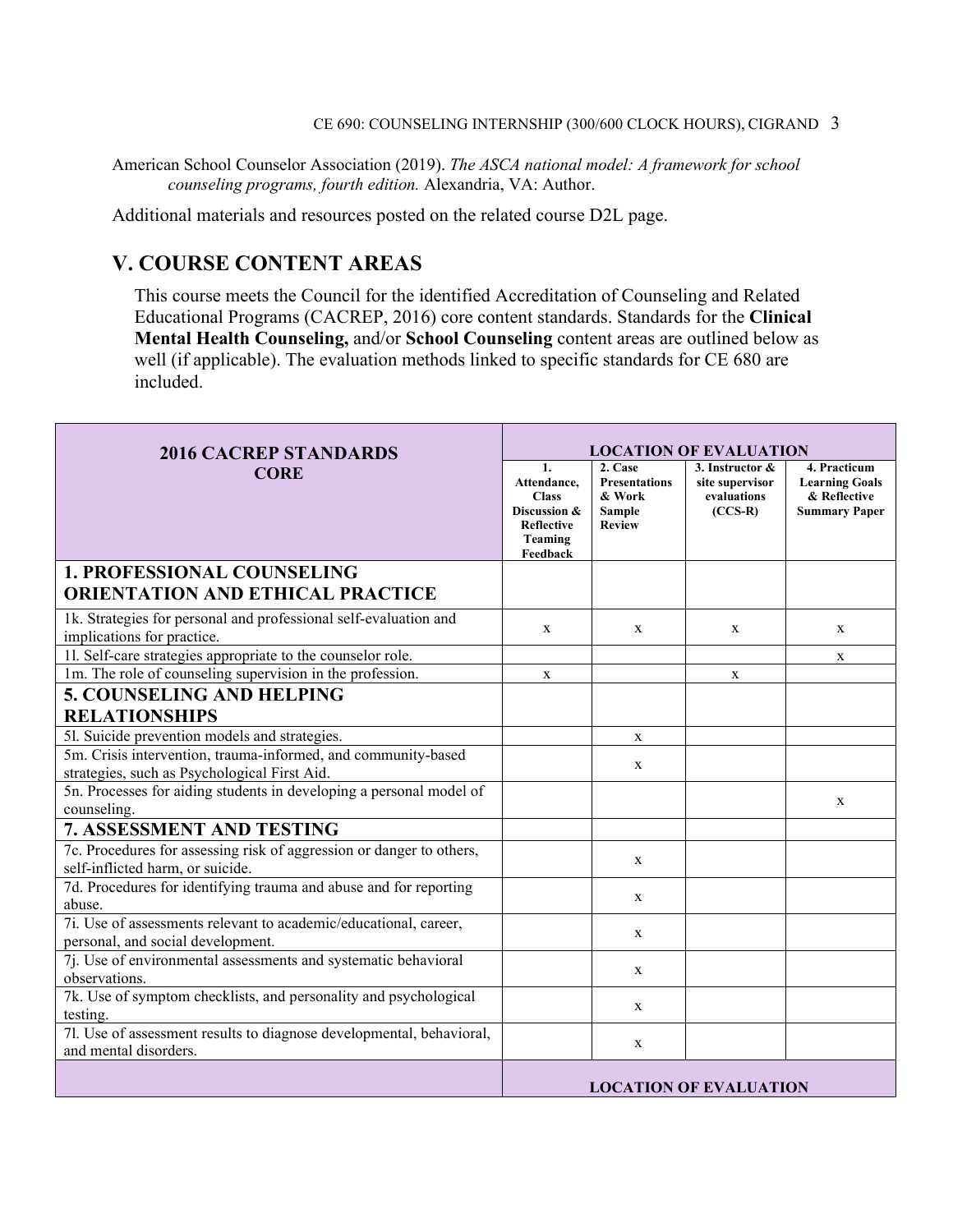American School Counselor Association (2019). *The ASCA national model: A framework for school counseling programs, fourth edition.* Alexandria, VA: Author.

Additional materials and resources posted on the related course D2L page.

### **V. COURSE CONTENT AREAS**

This course meets the Council for the identified Accreditation of Counseling and Related Educational Programs (CACREP, 2016) core content standards. Standards for the **Clinical Mental Health Counseling,** and/or **School Counseling** content areas are outlined below as well (if applicable). The evaluation methods linked to specific standards for CE 680 are included.

| <b>2016 CACREP STANDARDS</b>                                                                                  | <b>LOCATION OF EVALUATION</b>                                                                 |                                                                      |                                                                |                                                                               |
|---------------------------------------------------------------------------------------------------------------|-----------------------------------------------------------------------------------------------|----------------------------------------------------------------------|----------------------------------------------------------------|-------------------------------------------------------------------------------|
| <b>CORE</b>                                                                                                   | 1.<br>Attendance,<br><b>Class</b><br>Discussion &<br><b>Reflective</b><br>Teaming<br>Feedback | 2. Case<br><b>Presentations</b><br>& Work<br>Sample<br><b>Review</b> | 3. Instructor &<br>site supervisor<br>evaluations<br>$(CCS-R)$ | 4. Practicum<br><b>Learning Goals</b><br>& Reflective<br><b>Summary Paper</b> |
| <b>1. PROFESSIONAL COUNSELING</b>                                                                             |                                                                                               |                                                                      |                                                                |                                                                               |
| <b>ORIENTATION AND ETHICAL PRACTICE</b>                                                                       |                                                                                               |                                                                      |                                                                |                                                                               |
| 1k. Strategies for personal and professional self-evaluation and<br>implications for practice.                | X                                                                                             | $\mathbf{x}$                                                         | X                                                              | X                                                                             |
| 11. Self-care strategies appropriate to the counselor role.                                                   |                                                                                               |                                                                      |                                                                | X                                                                             |
| 1m. The role of counseling supervision in the profession.                                                     | X                                                                                             |                                                                      | X                                                              |                                                                               |
| <b>5. COUNSELING AND HELPING</b><br><b>RELATIONSHIPS</b>                                                      |                                                                                               |                                                                      |                                                                |                                                                               |
| 51. Suicide prevention models and strategies.                                                                 |                                                                                               | $\mathbf X$                                                          |                                                                |                                                                               |
| 5m. Crisis intervention, trauma-informed, and community-based<br>strategies, such as Psychological First Aid. |                                                                                               | $\mathbf x$                                                          |                                                                |                                                                               |
| 5n. Processes for aiding students in developing a personal model of<br>counseling.                            |                                                                                               |                                                                      |                                                                | X                                                                             |
| 7. ASSESSMENT AND TESTING                                                                                     |                                                                                               |                                                                      |                                                                |                                                                               |
| 7c. Procedures for assessing risk of aggression or danger to others,<br>self-inflicted harm, or suicide.      |                                                                                               | X                                                                    |                                                                |                                                                               |
| 7d. Procedures for identifying trauma and abuse and for reporting<br>abuse.                                   |                                                                                               | X                                                                    |                                                                |                                                                               |
| 7i. Use of assessments relevant to academic/educational, career,<br>personal, and social development.         |                                                                                               | X                                                                    |                                                                |                                                                               |
| 7j. Use of environmental assessments and systematic behavioral<br>observations.                               |                                                                                               | X                                                                    |                                                                |                                                                               |
| 7k. Use of symptom checklists, and personality and psychological<br>testing.                                  |                                                                                               | $\mathbf{x}$                                                         |                                                                |                                                                               |
| 7l. Use of assessment results to diagnose developmental, behavioral,<br>and mental disorders.                 |                                                                                               | X                                                                    |                                                                |                                                                               |
|                                                                                                               |                                                                                               |                                                                      | <b>LOCATION OF EVALUATION</b>                                  |                                                                               |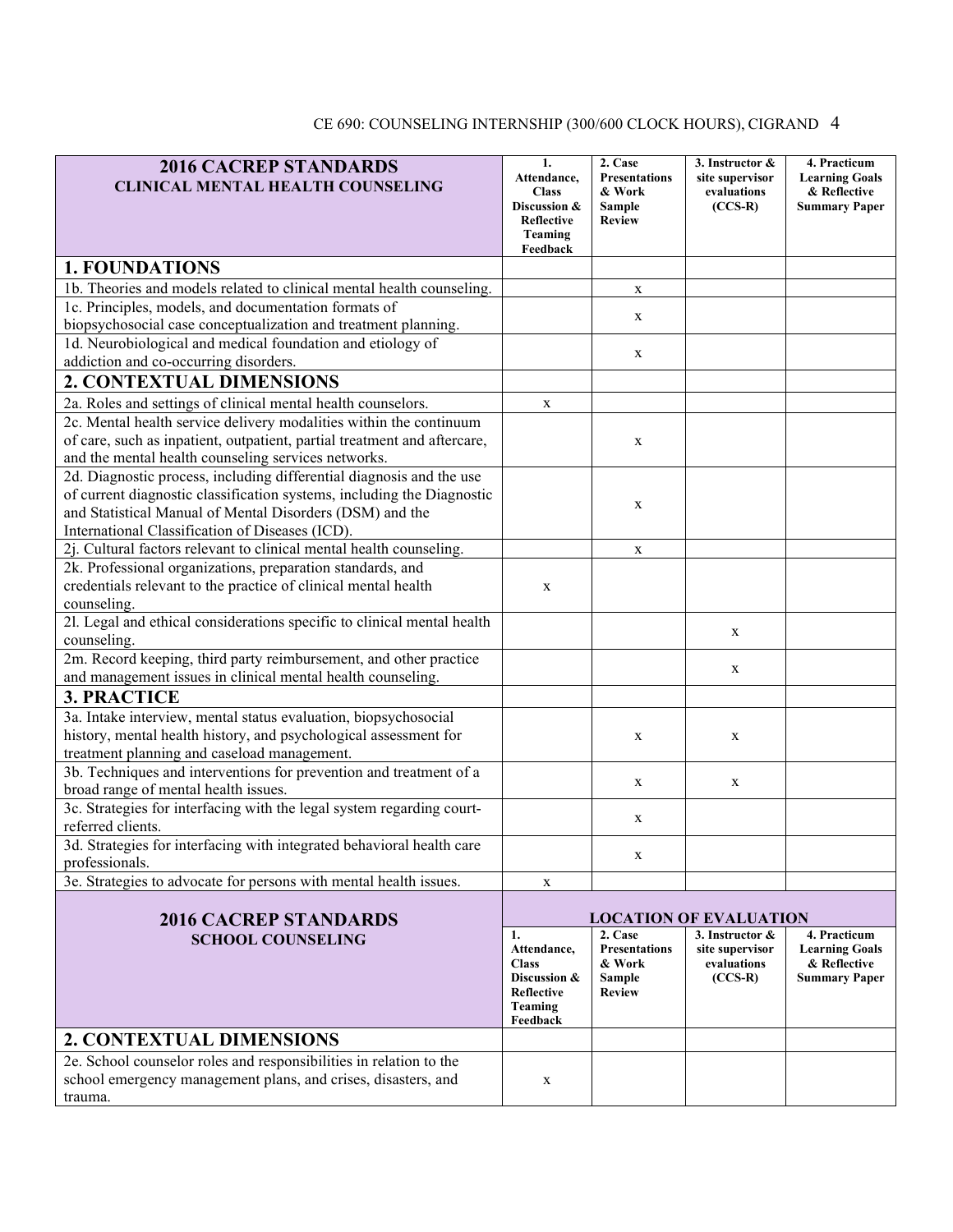#### **2016 CACREP STANDARDS CLINICAL MENTAL HEALTH COUNSELING 1. Attendance, Class Discussion & Reflective Teaming Feedback 2. Case Presentations & Work Sample Review 3. Instructor & site supervisor evaluations (CCS-R) 4. Practicum Learning Goals & Reflective Summary Paper 1. FOUNDATIONS** 1b. Theories and models related to clinical mental health counseling.  $\vert x \vert$  x 1c. Principles, models, and documentation formats of biopsychosocial case conceptualization and treatment planning. 1d. Neurobiological and medical foundation and etiology of  $x = x + y + z = 0$  addiction and co-occurring disorders. **2. CONTEXTUAL DIMENSIONS** 2a. Roles and settings of clinical mental health counselors.  $\overline{\mathbf{x}}$ 2c. Mental health service delivery modalities within the continuum of care, such as inpatient, outpatient, partial treatment and aftercare, and the mental health counseling services networks. x 2d. Diagnostic process, including differential diagnosis and the use of current diagnostic classification systems, including the Diagnostic and Statistical Manual of Mental Disorders (DSM) and the International Classification of Diseases (ICD). x  $2i$ . Cultural factors relevant to clinical mental health counseling.  $\boxed{x}$ 2k. Professional organizations, preparation standards, and credentials relevant to the practice of clinical mental health counseling. x 2l. Legal and ethical considerations specific to clinical mental health counseling. <sup>x</sup> 2m. Record keeping, third party reimbursement, and other practice and management issues in clinical mental health counseling. **3. PRACTICE** 3a. Intake interview, mental status evaluation, biopsychosocial history, mental health history, and psychological assessment for treatment planning and caseload management.  $x \qquad \qquad \mathbf{x}$ 3b. Techniques and interventions for prevention and treatment of a  $\frac{1}{x}$  broad range of mental health issues. 3c. Strategies for interfacing with the legal system regarding court-<br>referred clients. 3d. Strategies for interfacing with integrated behavioral health care professionals. 3e. Strategies to advocate for persons with mental health issues.  $\vert x \vert$  x **2016 CACREP STANDARDS SCHOOL COUNSELING LOCATION OF EVALUATION 1. Attendance, Class Discussion & Reflective Teaming Feedback 2. Case Presentations & Work Sample Review 3. Instructor & site supervisor evaluations (CCS-R) 4. Practicum Learning Goals & Reflective Summary Paper 2. CONTEXTUAL DIMENSIONS**

x

#### CE 690: COUNSELING INTERNSHIP (300/600 CLOCK HOURS), CIGRAND 4

2e. School counselor roles and responsibilities in relation to the school emergency management plans, and crises, disasters, and trauma.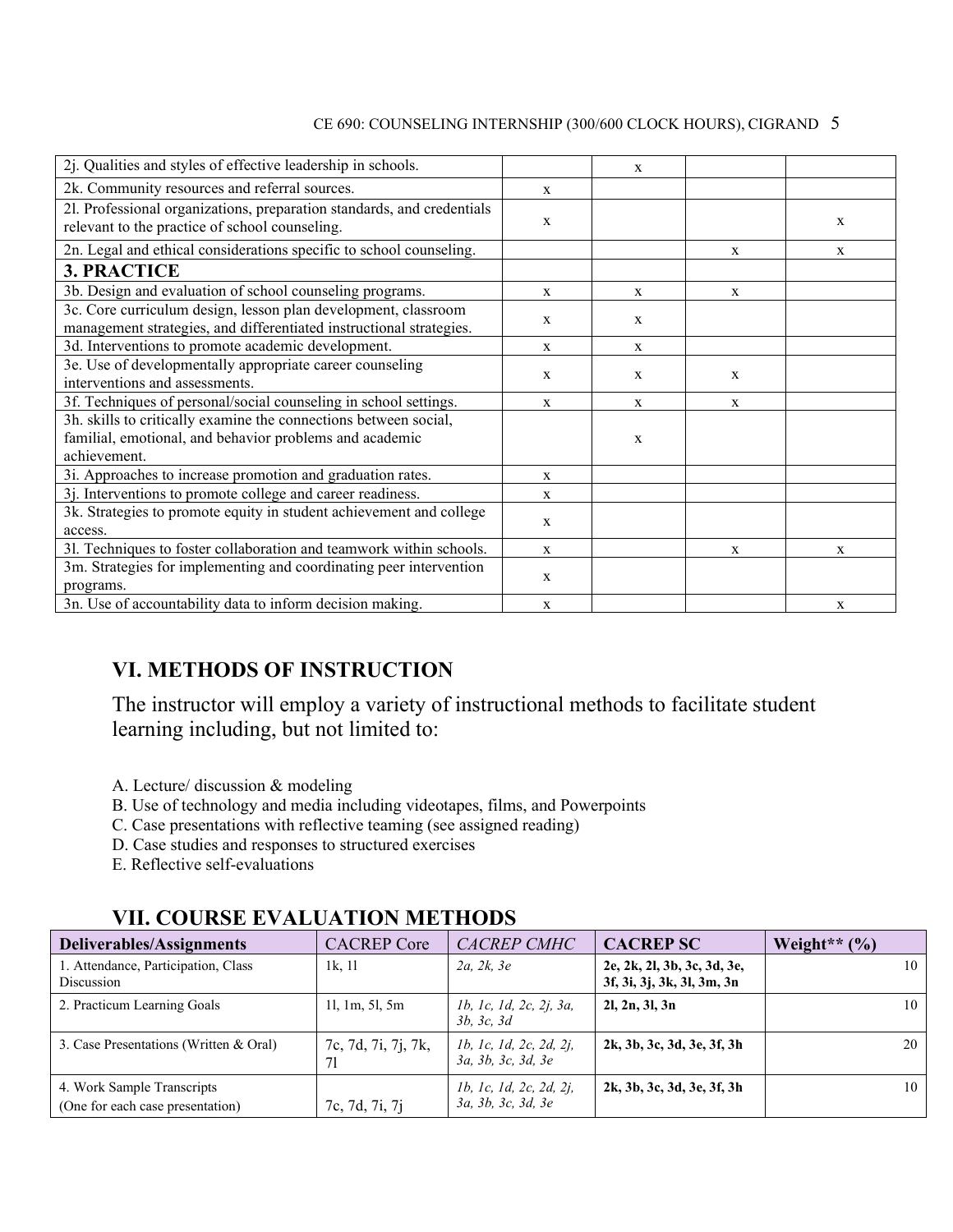| 2j. Qualities and styles of effective leadership in schools.                                                                                |              | X           |             |              |
|---------------------------------------------------------------------------------------------------------------------------------------------|--------------|-------------|-------------|--------------|
| 2k. Community resources and referral sources.                                                                                               | X            |             |             |              |
| 21. Professional organizations, preparation standards, and credentials<br>relevant to the practice of school counseling.                    | $\mathbf{X}$ |             |             | X            |
| 2n. Legal and ethical considerations specific to school counseling.                                                                         |              |             | X           | X            |
| <b>3. PRACTICE</b>                                                                                                                          |              |             |             |              |
| 3b. Design and evaluation of school counseling programs.                                                                                    | X            | X           | X           |              |
| 3c. Core curriculum design, lesson plan development, classroom<br>management strategies, and differentiated instructional strategies.       | X            | X           |             |              |
| 3d. Interventions to promote academic development.                                                                                          | X            | $\mathbf X$ |             |              |
| 3e. Use of developmentally appropriate career counseling<br>interventions and assessments.                                                  | X            | $\mathbf x$ | X           |              |
| 3f. Techniques of personal/social counseling in school settings.                                                                            | X            | X           | $\mathbf X$ |              |
| 3h. skills to critically examine the connections between social,<br>familial, emotional, and behavior problems and academic<br>achievement. |              | X           |             |              |
| 3i. Approaches to increase promotion and graduation rates.                                                                                  | X            |             |             |              |
| 3j. Interventions to promote college and career readiness.                                                                                  | $\mathbf X$  |             |             |              |
| 3k. Strategies to promote equity in student achievement and college<br>access.                                                              | X            |             |             |              |
| 31. Techniques to foster collaboration and teamwork within schools.                                                                         | X            |             | X           | $\mathbf{x}$ |
| 3m. Strategies for implementing and coordinating peer intervention<br>programs.                                                             | $\mathbf{x}$ |             |             |              |
| 3n. Use of accountability data to inform decision making.                                                                                   | X            |             |             | $\mathbf{x}$ |

### **VI. METHODS OF INSTRUCTION**

The instructor will employ a variety of instructional methods to facilitate student learning including, but not limited to:

- A. Lecture/ discussion & modeling
- B. Use of technology and media including videotapes, films, and Powerpoints
- C. Case presentations with reflective teaming (see assigned reading)
- D. Case studies and responses to structured exercises
- E. Reflective self-evaluations

| <b>Deliverables/Assignments</b>                                | <b>CACREP</b> Core        | <b>CACREP CMHC</b>                            | <b>CACREP SC</b>                                          | Weight** $(\% )$ |
|----------------------------------------------------------------|---------------------------|-----------------------------------------------|-----------------------------------------------------------|------------------|
| 1. Attendance, Participation, Class<br>Discussion              | 1k, 11                    | 2a, 2k, 3e                                    | 2e, 2k, 2l, 3b, 3c, 3d, 3e,<br>3f, 3i, 3j, 3k, 3l, 3m, 3n | 10               |
| 2. Practicum Learning Goals                                    | 11, 1m, 51, 5m            | 1b, 1c, 1d, 2c, 2j, 3a,<br>3b, 3c, 3d         | 2l, 2n, 3l, 3n                                            | 10               |
| 3. Case Presentations (Written & Oral)                         | 7c, 7d, 7i, 7j, 7k,<br>71 | 1b, 1c, 1d, 2c, 2d, 2j,<br>3a, 3b, 3c, 3d, 3e | 2k, 3b, 3c, 3d, 3e, 3f, 3h                                | 20               |
| 4. Work Sample Transcripts<br>(One for each case presentation) | 7c, 7d, 7i, 7j            | 1b, 1c, 1d, 2c, 2d, 2j,<br>3a, 3b, 3c, 3d, 3e | 2k, 3b, 3c, 3d, 3e, 3f, 3h                                | 10               |

### **VII. COURSE EVALUATION METHODS**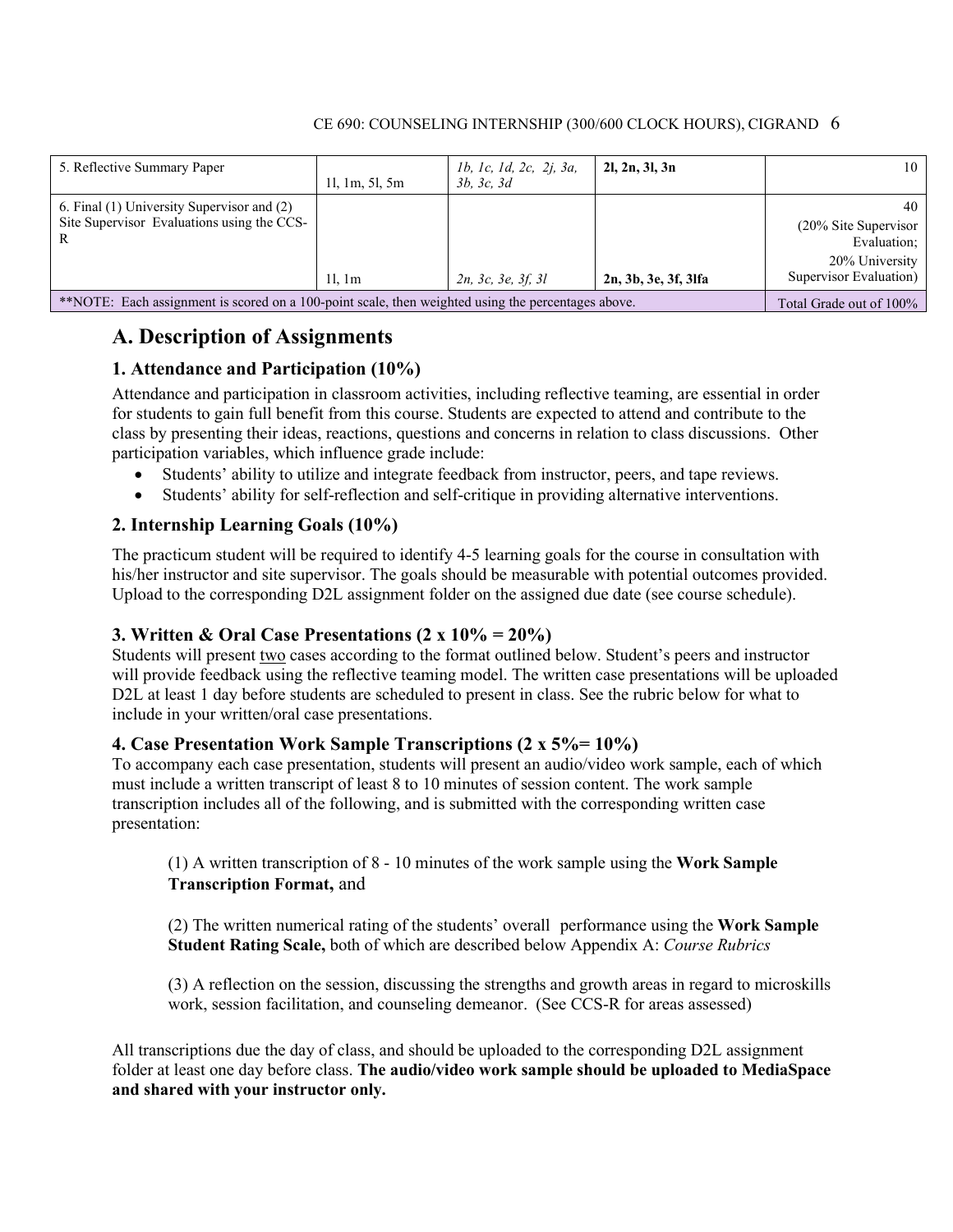| 5. Reflective Summary Paper                                                                         | 11, 1m, 51, 5m | <i>lb, lc, ld, 2c, 2j, 3a,</i><br>3b, 3c, 3d | 2l, 2n, 3l, 3n       | 10                                                                                       |
|-----------------------------------------------------------------------------------------------------|----------------|----------------------------------------------|----------------------|------------------------------------------------------------------------------------------|
| 6. Final (1) University Supervisor and (2)<br>Site Supervisor Evaluations using the CCS-            | 11.1m          | 2n, 3c, 3e, 3f, 3l                           | 2n, 3b, 3e, 3f, 3lfa | 40<br>$(20\%$ Site Supervisor<br>Evaluation;<br>20% University<br>Supervisor Evaluation) |
| ** NOTE: Each assignment is scored on a 100-point scale, then weighted using the percentages above. |                |                                              |                      | Total Grade out of 100%                                                                  |

### **A. Description of Assignments**

#### **1. Attendance and Participation (10%)**

Attendance and participation in classroom activities, including reflective teaming, are essential in order for students to gain full benefit from this course. Students are expected to attend and contribute to the class by presenting their ideas, reactions, questions and concerns in relation to class discussions. Other participation variables, which influence grade include:

- Students' ability to utilize and integrate feedback from instructor, peers, and tape reviews.
- Students' ability for self-reflection and self-critique in providing alternative interventions.

#### **2. Internship Learning Goals (10%)**

The practicum student will be required to identify 4-5 learning goals for the course in consultation with his/her instructor and site supervisor. The goals should be measurable with potential outcomes provided. Upload to the corresponding D2L assignment folder on the assigned due date (see course schedule).

#### **3. Written & Oral Case Presentations (2 x 10% = 20%)**

Students will present two cases according to the format outlined below. Student's peers and instructor will provide feedback using the reflective teaming model. The written case presentations will be uploaded D2L at least 1 day before students are scheduled to present in class. See the rubric below for what to include in your written/oral case presentations.

#### **4. Case Presentation Work Sample Transcriptions (2 x 5%= 10%)**

To accompany each case presentation, students will present an audio/video work sample, each of which must include a written transcript of least 8 to 10 minutes of session content. The work sample transcription includes all of the following, and is submitted with the corresponding written case presentation:

(1) A written transcription of 8 - 10 minutes of the work sample using the **Work Sample Transcription Format,** and

(2) The written numerical rating of the students' overall performance using the **Work Sample Student Rating Scale,** both of which are described below Appendix A: *Course Rubrics*

(3) A reflection on the session, discussing the strengths and growth areas in regard to microskills work, session facilitation, and counseling demeanor. (See CCS-R for areas assessed)

All transcriptions due the day of class, and should be uploaded to the corresponding D2L assignment folder at least one day before class. **The audio/video work sample should be uploaded to MediaSpace and shared with your instructor only.**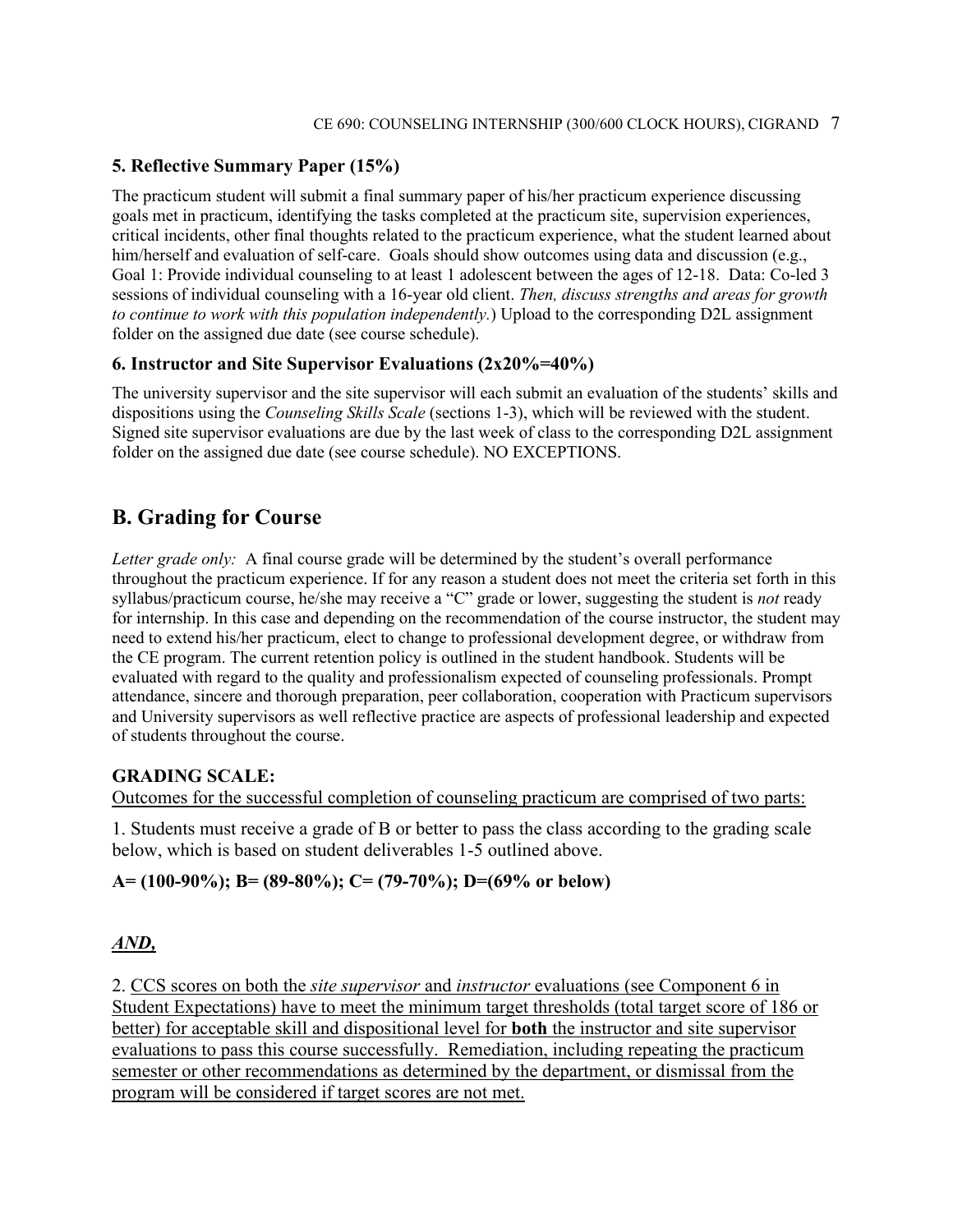#### **5. Reflective Summary Paper (15%)**

The practicum student will submit a final summary paper of his/her practicum experience discussing goals met in practicum, identifying the tasks completed at the practicum site, supervision experiences, critical incidents, other final thoughts related to the practicum experience, what the student learned about him/herself and evaluation of self-care. Goals should show outcomes using data and discussion (e.g., Goal 1: Provide individual counseling to at least 1 adolescent between the ages of 12-18. Data: Co-led 3 sessions of individual counseling with a 16-year old client. *Then, discuss strengths and areas for growth to continue to work with this population independently.*) Upload to the corresponding D2L assignment folder on the assigned due date (see course schedule).

#### **6. Instructor and Site Supervisor Evaluations (2x20%=40%)**

The university supervisor and the site supervisor will each submit an evaluation of the students' skills and dispositions using the *Counseling Skills Scale* (sections 1-3), which will be reviewed with the student. Signed site supervisor evaluations are due by the last week of class to the corresponding D2L assignment folder on the assigned due date (see course schedule). NO EXCEPTIONS.

### **B. Grading for Course**

*Letter grade only:* A final course grade will be determined by the student's overall performance throughout the practicum experience. If for any reason a student does not meet the criteria set forth in this syllabus/practicum course, he/she may receive a "C" grade or lower, suggesting the student is *not* ready for internship. In this case and depending on the recommendation of the course instructor, the student may need to extend his/her practicum, elect to change to professional development degree, or withdraw from the CE program. The current retention policy is outlined in the student handbook. Students will be evaluated with regard to the quality and professionalism expected of counseling professionals. Prompt attendance, sincere and thorough preparation, peer collaboration, cooperation with Practicum supervisors and University supervisors as well reflective practice are aspects of professional leadership and expected of students throughout the course.

#### **GRADING SCALE:**

Outcomes for the successful completion of counseling practicum are comprised of two parts:

1. Students must receive a grade of B or better to pass the class according to the grading scale below, which is based on student deliverables 1-5 outlined above.

#### **A= (100-90%); B= (89-80%); C= (79-70%); D=(69% or below)**

#### *AND,*

2. CCS scores on both the *site supervisor* and *instructor* evaluations (see Component 6 in Student Expectations) have to meet the minimum target thresholds (total target score of 186 or better) for acceptable skill and dispositional level for **both** the instructor and site supervisor evaluations to pass this course successfully. Remediation, including repeating the practicum semester or other recommendations as determined by the department, or dismissal from the program will be considered if target scores are not met.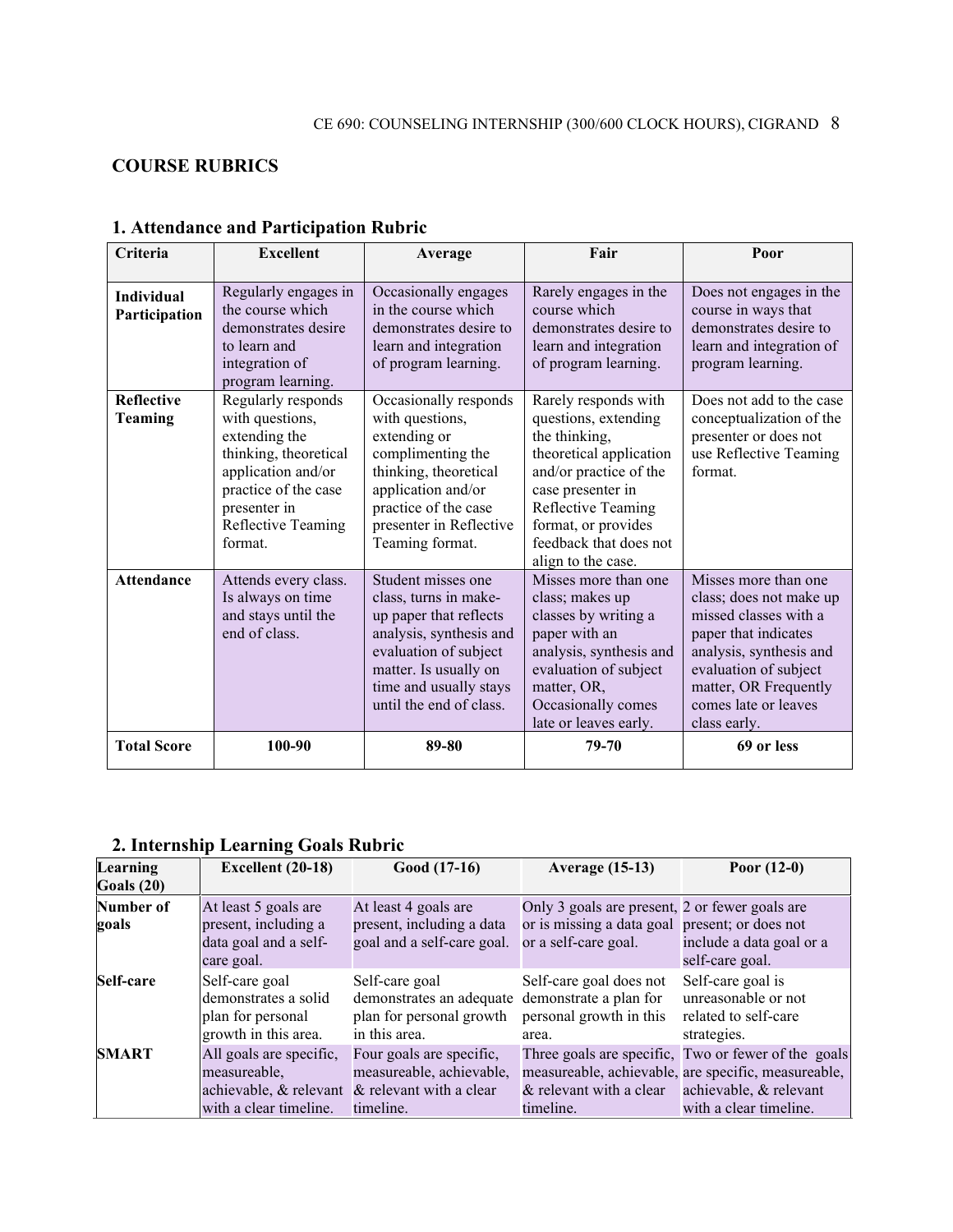### **COURSE RUBRICS**

| Criteria                                | <b>Excellent</b>                                                                                                                                                               | Average                                                                                                                                                                                                          | Fair                                                                                                                                                                                                                                 | Poor                                                                                                                                                                                                                                |
|-----------------------------------------|--------------------------------------------------------------------------------------------------------------------------------------------------------------------------------|------------------------------------------------------------------------------------------------------------------------------------------------------------------------------------------------------------------|--------------------------------------------------------------------------------------------------------------------------------------------------------------------------------------------------------------------------------------|-------------------------------------------------------------------------------------------------------------------------------------------------------------------------------------------------------------------------------------|
| <b>Individual</b><br>Participation      | Regularly engages in<br>the course which<br>demonstrates desire<br>to learn and<br>integration of<br>program learning.                                                         | Occasionally engages<br>in the course which<br>demonstrates desire to<br>learn and integration<br>of program learning.                                                                                           | Rarely engages in the<br>course which<br>demonstrates desire to<br>learn and integration<br>of program learning.                                                                                                                     | Does not engages in the<br>course in ways that<br>demonstrates desire to<br>learn and integration of<br>program learning.                                                                                                           |
| <b>Reflective</b><br><b>Teaming</b>     | Regularly responds<br>with questions,<br>extending the<br>thinking, theoretical<br>application and/or<br>practice of the case<br>presenter in<br>Reflective Teaming<br>format. | Occasionally responds<br>with questions,<br>extending or<br>complimenting the<br>thinking, theoretical<br>application and/or<br>practice of the case<br>presenter in Reflective<br>Teaming format.               | Rarely responds with<br>questions, extending<br>the thinking,<br>theoretical application<br>and/or practice of the<br>case presenter in<br>Reflective Teaming<br>format, or provides<br>feedback that does not<br>align to the case. | Does not add to the case<br>conceptualization of the<br>presenter or does not<br>use Reflective Teaming<br>format.                                                                                                                  |
| <b>Attendance</b><br><b>Total Score</b> | Attends every class.<br>Is always on time<br>and stays until the<br>end of class.<br>100-90                                                                                    | Student misses one<br>class, turns in make-<br>up paper that reflects<br>analysis, synthesis and<br>evaluation of subject<br>matter. Is usually on<br>time and usually stays<br>until the end of class.<br>89-80 | Misses more than one<br>class; makes up<br>classes by writing a<br>paper with an<br>analysis, synthesis and<br>evaluation of subject<br>matter, OR,<br>Occasionally comes<br>late or leaves early.<br>79-70                          | Misses more than one<br>class; does not make up<br>missed classes with a<br>paper that indicates<br>analysis, synthesis and<br>evaluation of subject<br>matter, OR Frequently<br>comes late or leaves<br>class early.<br>69 or less |
|                                         |                                                                                                                                                                                |                                                                                                                                                                                                                  |                                                                                                                                                                                                                                      |                                                                                                                                                                                                                                     |

### **1. Attendance and Participation Rubric**

### **2. Internship Learning Goals Rubric**

| Learning<br>Goals $(20)$ | Excellent (20-18)                                                                   | Good (17-16)                                                                                                        | <b>Average (15-13)</b>                                                                                                   | Poor $(12-0)$                                                                                                                                                  |
|--------------------------|-------------------------------------------------------------------------------------|---------------------------------------------------------------------------------------------------------------------|--------------------------------------------------------------------------------------------------------------------------|----------------------------------------------------------------------------------------------------------------------------------------------------------------|
| Number of<br>goals       | At least 5 goals are<br>present, including a<br>data goal and a self-<br>care goal. | At least 4 goals are<br>present, including a data<br>goal and a self-care goal.                                     | Only 3 goals are present, 2 or fewer goals are<br>or is missing a data goal present; or does not<br>or a self-care goal. | include a data goal or a<br>self-care goal.                                                                                                                    |
| Self-care                | Self-care goal<br>demonstrates a solid<br>plan for personal<br>growth in this area. | Self-care goal<br>demonstrates an adequate demonstrate a plan for<br>plan for personal growth<br>in this area.      | Self-care goal does not<br>personal growth in this<br>area.                                                              | Self-care goal is<br>unreasonable or not<br>related to self-care<br>strategies.                                                                                |
| <b>SMART</b>             | All goals are specific,<br>measureable.<br>with a clear timeline.                   | Four goals are specific,<br>measureable, achievable,<br>achievable, & relevant & relevant with a clear<br>timeline. | & relevant with a clear<br>timeline.                                                                                     | Three goals are specific, Two or fewer of the goals<br>measureable, achievable, are specific, measureable,<br>achievable, & relevant<br>with a clear timeline. |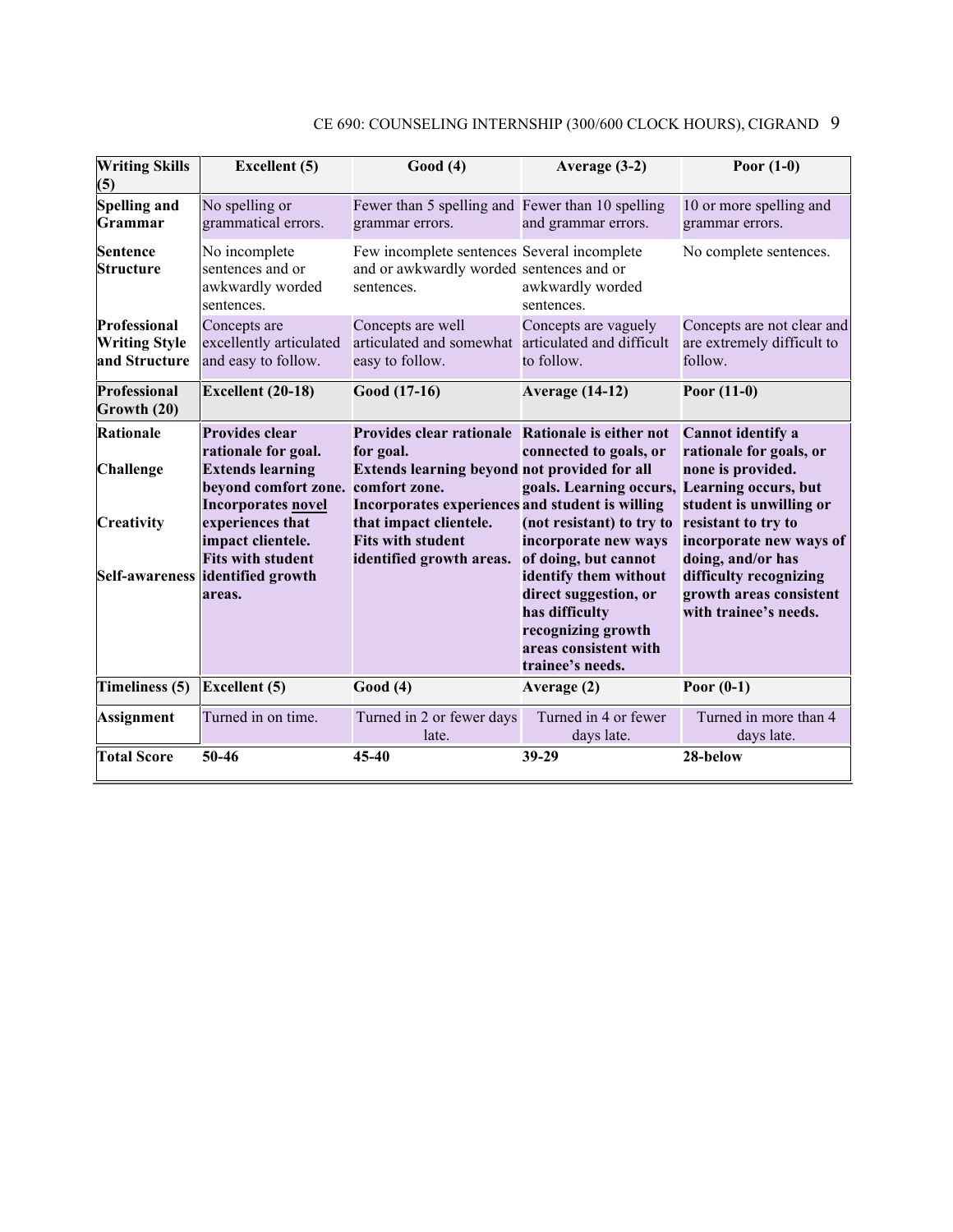| <b>Writing Skills</b><br>(5)                          | <b>Excellent</b> (5)                                                                                                                                                                                                              | Good(4)                                                                                                                                                                                                                                                             | Average (3-2)                                                                                                                                                                                                                                                                              | Poor $(1-0)$                                                                                                                                                                                                                                             |
|-------------------------------------------------------|-----------------------------------------------------------------------------------------------------------------------------------------------------------------------------------------------------------------------------------|---------------------------------------------------------------------------------------------------------------------------------------------------------------------------------------------------------------------------------------------------------------------|--------------------------------------------------------------------------------------------------------------------------------------------------------------------------------------------------------------------------------------------------------------------------------------------|----------------------------------------------------------------------------------------------------------------------------------------------------------------------------------------------------------------------------------------------------------|
| <b>Spelling and</b><br>Grammar                        | No spelling or<br>grammatical errors.                                                                                                                                                                                             | Fewer than 5 spelling and Fewer than 10 spelling<br>grammar errors.                                                                                                                                                                                                 | and grammar errors.                                                                                                                                                                                                                                                                        | 10 or more spelling and<br>grammar errors.                                                                                                                                                                                                               |
| <b>Sentence</b><br><b>Structure</b>                   | No incomplete<br>sentences and or<br>awkwardly worded<br>sentences.                                                                                                                                                               | Few incomplete sentences Several incomplete<br>and or awkwardly worded sentences and or<br>sentences.                                                                                                                                                               | awkwardly worded<br>sentences.                                                                                                                                                                                                                                                             | No complete sentences.                                                                                                                                                                                                                                   |
| Professional<br><b>Writing Style</b><br>and Structure | Concepts are<br>excellently articulated<br>and easy to follow.                                                                                                                                                                    | Concepts are well<br>articulated and somewhat articulated and difficult<br>easy to follow.                                                                                                                                                                          | Concepts are vaguely<br>to follow.                                                                                                                                                                                                                                                         | Concepts are not clear and<br>are extremely difficult to<br>follow.                                                                                                                                                                                      |
| <b>Professional</b><br>Growth (20)                    | Excellent (20-18)                                                                                                                                                                                                                 | Good (17-16)                                                                                                                                                                                                                                                        | <b>Average (14-12)</b>                                                                                                                                                                                                                                                                     | Poor $(11-0)$                                                                                                                                                                                                                                            |
| <b>Rationale</b><br><b>Challenge</b><br>Creativity    | Provides clear<br>rationale for goal.<br><b>Extends learning</b><br>beyond comfort zone.<br>Incorporates novel<br>experiences that<br>impact clientele.<br><b>Fits with student</b><br>Self-awareness identified growth<br>areas. | Provides clear rationale Rationale is either not<br>for goal.<br>Extends learning beyond not provided for all<br>comfort zone.<br>Incorporates experiences and student is willing<br>that impact clientele.<br><b>Fits with student</b><br>identified growth areas. | connected to goals, or<br>goals. Learning occurs, Learning occurs, but<br>(not resistant) to try to<br>incorporate new ways<br>of doing, but cannot<br>identify them without<br>direct suggestion, or<br>has difficulty<br>recognizing growth<br>areas consistent with<br>trainee's needs. | <b>Cannot identify a</b><br>rationale for goals, or<br>none is provided.<br>student is unwilling or<br>resistant to try to<br>incorporate new ways of<br>doing, and/or has<br>difficulty recognizing<br>growth areas consistent<br>with trainee's needs. |
| Timeliness (5)                                        | <b>Excellent</b> (5)                                                                                                                                                                                                              | Good(4)                                                                                                                                                                                                                                                             | Average (2)                                                                                                                                                                                                                                                                                | Poor $(0-1)$                                                                                                                                                                                                                                             |
| <b>Assignment</b>                                     | Turned in on time.                                                                                                                                                                                                                | Turned in 2 or fewer days<br>late.                                                                                                                                                                                                                                  | Turned in 4 or fewer<br>days late.                                                                                                                                                                                                                                                         | Turned in more than 4<br>days late.                                                                                                                                                                                                                      |
| <b>Total Score</b>                                    | 50-46                                                                                                                                                                                                                             | 45-40                                                                                                                                                                                                                                                               | 39-29                                                                                                                                                                                                                                                                                      | 28-below                                                                                                                                                                                                                                                 |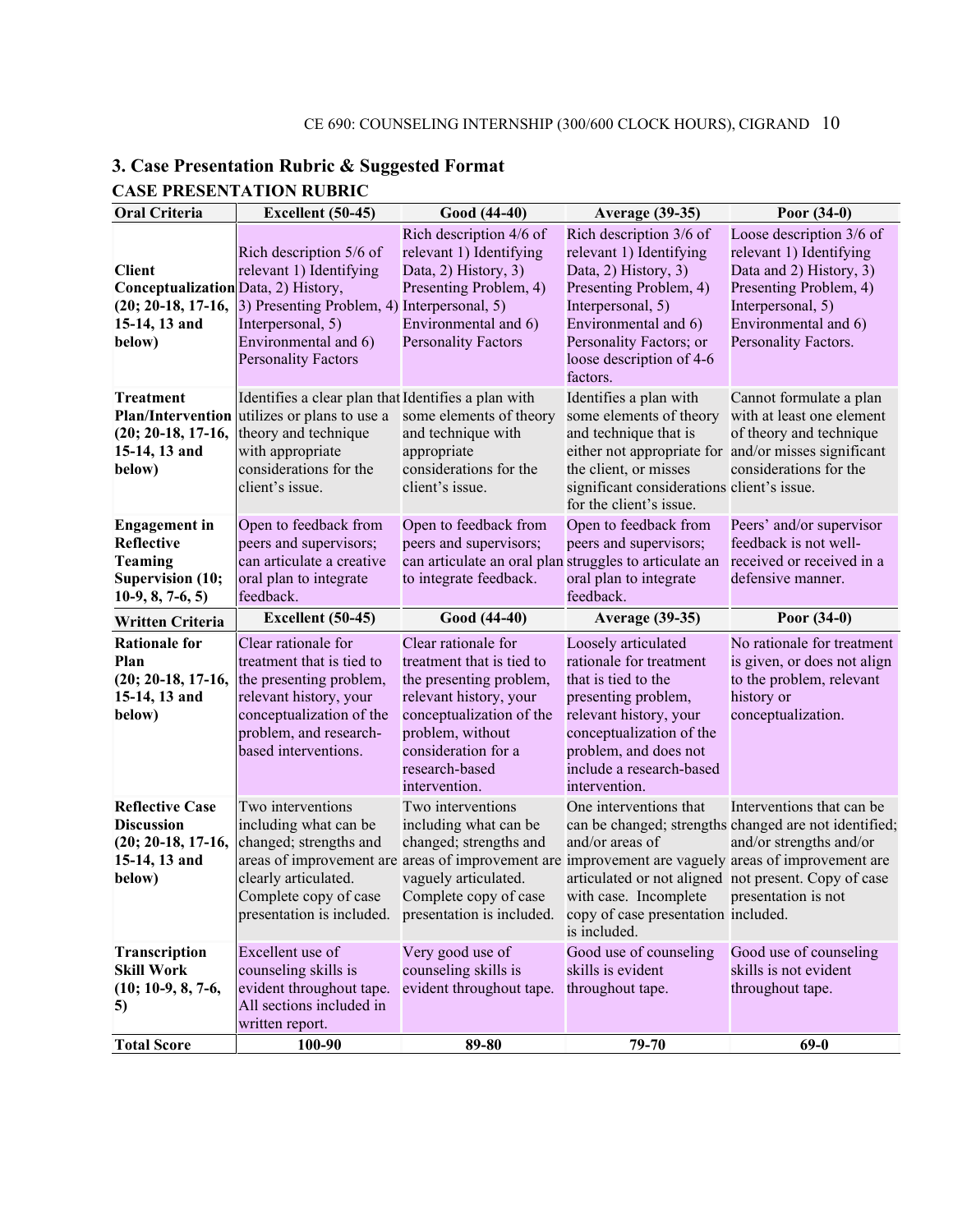| <b>Oral Criteria</b>                                                                                    | Excellent (50-45)                                                                                                                                                                                                                                                                  | Good (44-40)                                                                                                                                                                                                    | <b>Average (39-35)</b>                                                                                                                                                                                                               | Poor $(34-0)$                                                                                                                                                                 |
|---------------------------------------------------------------------------------------------------------|------------------------------------------------------------------------------------------------------------------------------------------------------------------------------------------------------------------------------------------------------------------------------------|-----------------------------------------------------------------------------------------------------------------------------------------------------------------------------------------------------------------|--------------------------------------------------------------------------------------------------------------------------------------------------------------------------------------------------------------------------------------|-------------------------------------------------------------------------------------------------------------------------------------------------------------------------------|
| <b>Client</b><br>Conceptualization Data, 2) History,<br>$(20; 20-18, 17-16,$<br>15-14, 13 and<br>below) | Rich description 5/6 of<br>relevant 1) Identifying<br>3) Presenting Problem, 4) Interpersonal, 5)<br>Interpersonal, 5)<br>Environmental and 6)<br><b>Personality Factors</b>                                                                                                       | Rich description 4/6 of<br>relevant 1) Identifying<br>Data, 2) History, 3)<br>Presenting Problem, 4)<br>Environmental and 6)<br><b>Personality Factors</b>                                                      | Rich description 3/6 of<br>relevant 1) Identifying<br>Data, 2) History, 3)<br>Presenting Problem, 4)<br>Interpersonal, 5)<br>Environmental and 6)<br>Personality Factors; or<br>loose description of 4-6<br>factors.                 | Loose description 3/6 of<br>relevant 1) Identifying<br>Data and 2) History, 3)<br>Presenting Problem, 4)<br>Interpersonal, 5)<br>Environmental and 6)<br>Personality Factors. |
| <b>Treatment</b><br><b>Plan/Intervention</b><br>$(20; 20-18, 17-16,$<br>15-14, 13 and<br>below)         | Identifies a clear plan that Identifies a plan with<br>utilizes or plans to use a<br>theory and technique<br>with appropriate<br>considerations for the<br>client's issue.                                                                                                         | some elements of theory<br>and technique with<br>appropriate<br>considerations for the<br>client's issue.                                                                                                       | Identifies a plan with<br>some elements of theory<br>and technique that is<br>either not appropriate for and/or misses significant<br>the client, or misses<br>significant considerations client's issue.<br>for the client's issue. | Cannot formulate a plan<br>with at least one element<br>of theory and technique<br>considerations for the                                                                     |
| <b>Engagement</b> in<br>Reflective<br><b>Teaming</b><br><b>Supervision (10;</b><br>$10-9, 8, 7-6, 5)$   | Open to feedback from<br>peers and supervisors;<br>can articulate a creative<br>oral plan to integrate<br>feedback.                                                                                                                                                                | Open to feedback from<br>peers and supervisors;<br>can articulate an oral plan struggles to articulate an<br>to integrate feedback.                                                                             | Open to feedback from<br>peers and supervisors;<br>oral plan to integrate<br>feedback.                                                                                                                                               | Peers' and/or supervisor<br>feedback is not well-<br>received or received in a<br>defensive manner.                                                                           |
| Written Criteria                                                                                        | Excellent (50-45)                                                                                                                                                                                                                                                                  | Good (44-40)                                                                                                                                                                                                    | <b>Average (39-35)</b>                                                                                                                                                                                                               | Poor $(34-0)$                                                                                                                                                                 |
| <b>Rationale for</b><br>Plan<br>$(20; 20-18, 17-16,$<br>15-14, 13 and<br>below)                         | Clear rationale for<br>treatment that is tied to<br>the presenting problem,<br>relevant history, your<br>conceptualization of the<br>problem, and research-<br>based interventions.                                                                                                | Clear rationale for<br>treatment that is tied to<br>the presenting problem,<br>relevant history, your<br>conceptualization of the<br>problem, without<br>consideration for a<br>research-based<br>intervention. | Loosely articulated<br>rationale for treatment<br>that is tied to the<br>presenting problem,<br>relevant history, your<br>conceptualization of the<br>problem, and does not<br>include a research-based<br>intervention.             | No rationale for treatment<br>is given, or does not align<br>to the problem, relevant<br>history or<br>conceptualization.                                                     |
| <b>Reflective Case</b><br><b>Discussion</b><br>$(20; 20-18, 17-16,$<br>15-14, 13 and<br>below)          | Two interventions<br>including what can be<br>changed; strengths and<br>areas of improvement are areas of improvement are improvement are vaguely areas of improvement are<br>clearly articulated.<br>Complete copy of case<br>presentation is included. presentation is included. | Two interventions<br>including what can be<br>changed; strengths and<br>vaguely articulated.<br>Complete copy of case                                                                                           | One interventions that<br>and/or areas of<br>articulated or not aligned not present. Copy of case<br>with case. Incomplete presentation is not<br>copy of case presentation included.<br>is included.                                | Interventions that can be<br>can be changed; strengths changed are not identified;<br>and/or strengths and/or                                                                 |
| Transcription<br><b>Skill Work</b><br>$(10; 10-9, 8, 7-6,$<br>5)                                        | Excellent use of<br>counseling skills is<br>evident throughout tape.<br>All sections included in<br>written report.                                                                                                                                                                | Very good use of<br>counseling skills is<br>evident throughout tape.                                                                                                                                            | Good use of counseling<br>skills is evident<br>throughout tape.                                                                                                                                                                      | Good use of counseling<br>skills is not evident<br>throughout tape.                                                                                                           |
| <b>Total Score</b>                                                                                      | 100-90                                                                                                                                                                                                                                                                             | 89-80                                                                                                                                                                                                           | 79-70                                                                                                                                                                                                                                | $69-0$                                                                                                                                                                        |

### **3. Case Presentation Rubric & Suggested Format CASE PRESENTATION RUBRIC**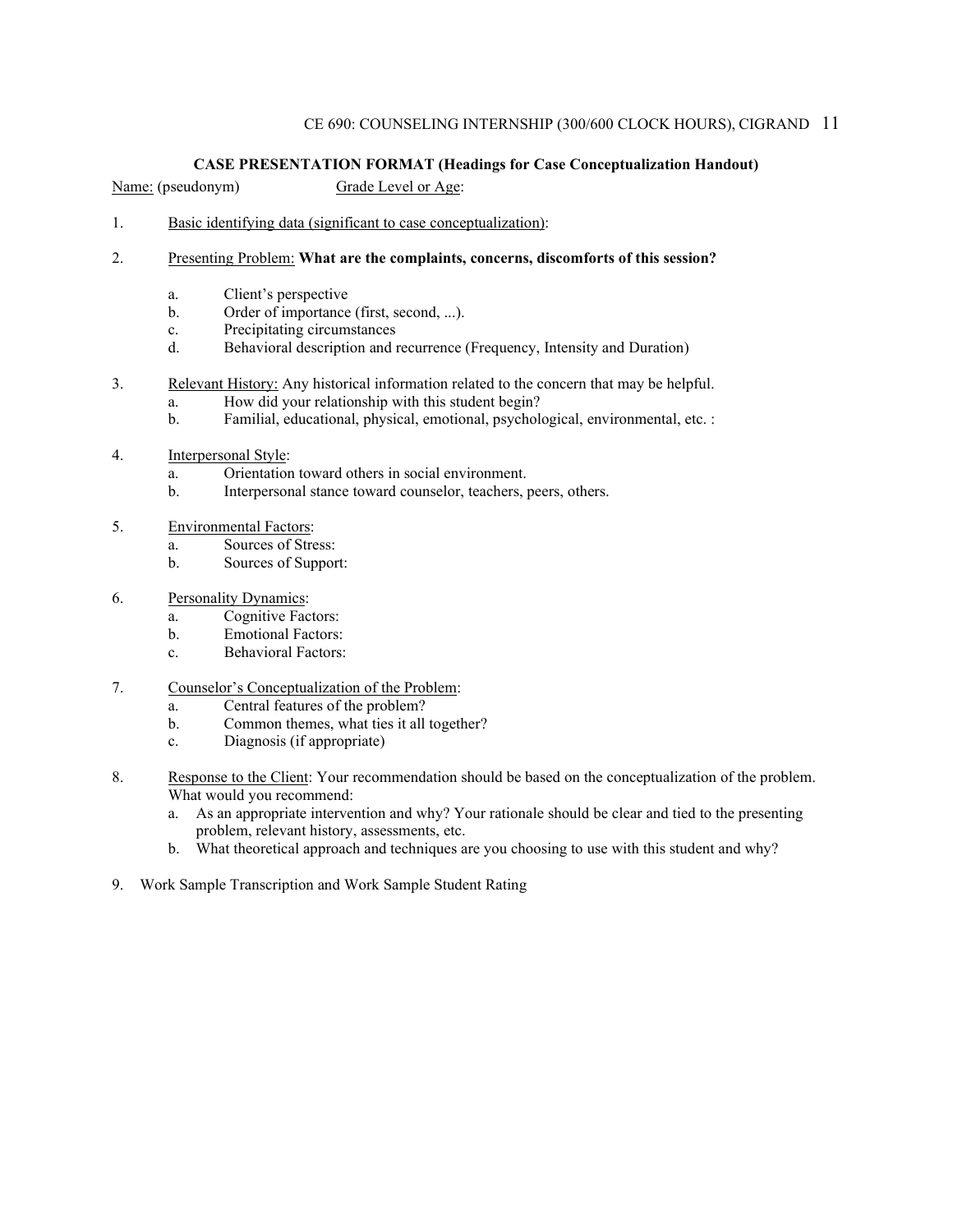#### **CASE PRESENTATION FORMAT (Headings for Case Conceptualization Handout)**

Name: (pseudonym) Grade Level or Age:

- 1. Basic identifying data (significant to case conceptualization):
- 2. Presenting Problem: **What are the complaints, concerns, discomforts of this session?**
	- a. Client's perspective
	- b. Order of importance (first, second, ...).
	- c. Precipitating circumstances
	- d. Behavioral description and recurrence (Frequency, Intensity and Duration)
- 3. Relevant History: Any historical information related to the concern that may be helpful.
	- a. How did your relationship with this student begin?
	- b. Familial, educational, physical, emotional, psychological, environmental, etc. :
- 4. Interpersonal Style:
	- a. Orientation toward others in social environment.
	- b. Interpersonal stance toward counselor, teachers, peers, others.
- 5. Environmental Factors:
	- a. Sources of Stress:
	- b. Sources of Support:
- 6. Personality Dynamics:
	- a. Cognitive Factors:
	- b. Emotional Factors:
	- c. Behavioral Factors:
- 7. Counselor's Conceptualization of the Problem:
	- a. Central features of the problem?
	- b. Common themes, what ties it all together?
	- c. Diagnosis (if appropriate)
- 8. Response to the Client: Your recommendation should be based on the conceptualization of the problem. What would you recommend:
	- a. As an appropriate intervention and why? Your rationale should be clear and tied to the presenting problem, relevant history, assessments, etc.
	- b. What theoretical approach and techniques are you choosing to use with this student and why?
- 9. Work Sample Transcription and Work Sample Student Rating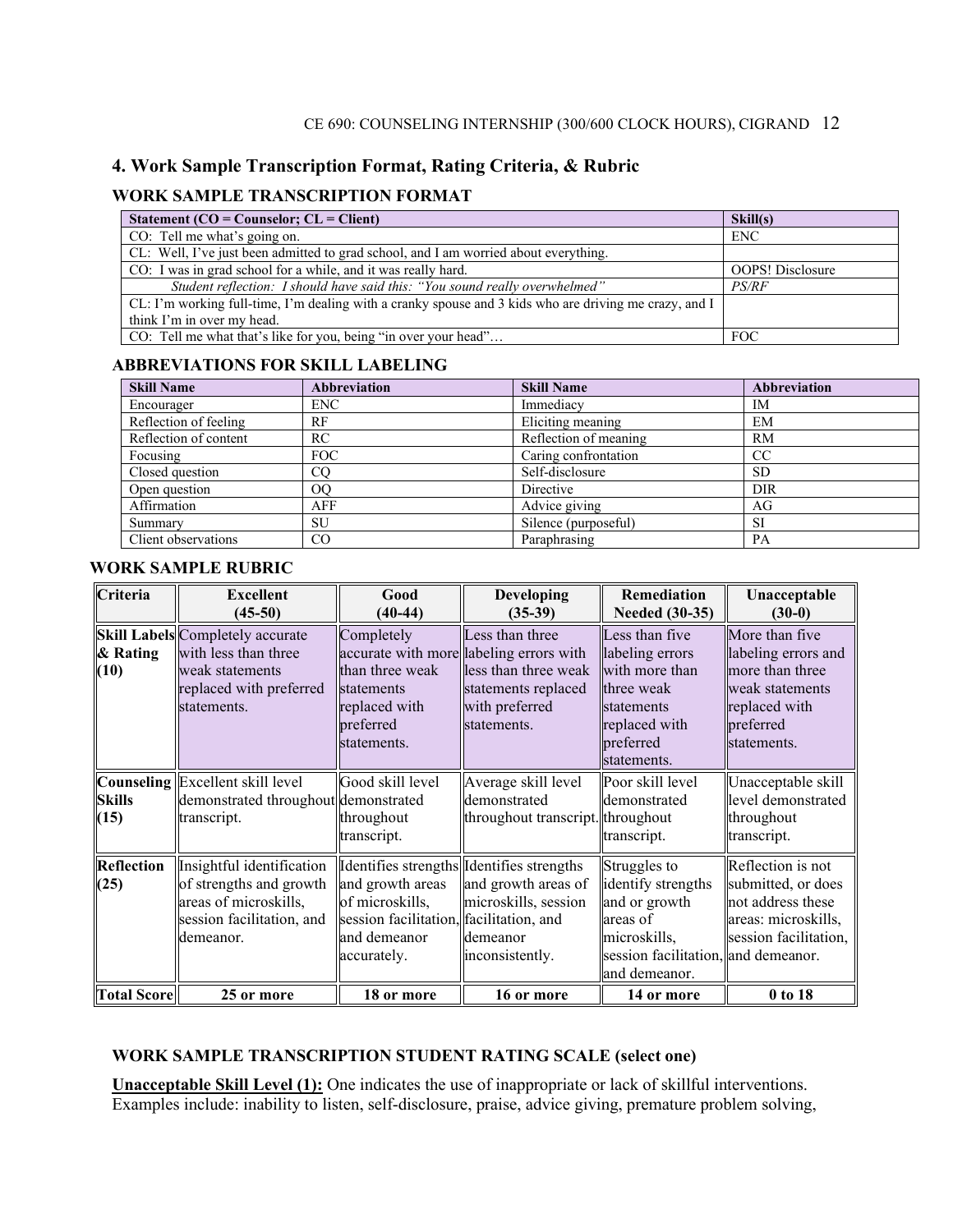#### **4. Work Sample Transcription Format, Rating Criteria, & Rubric**

#### **WORK SAMPLE TRANSCRIPTION FORMAT**

| Statement ( $CO = \text{Counselor}; CL = \text{Client}$ )                                              | Skill(s)                |
|--------------------------------------------------------------------------------------------------------|-------------------------|
| CO: Tell me what's going on.                                                                           | <b>ENC</b>              |
| CL: Well, I've just been admitted to grad school, and I am worried about everything.                   |                         |
| CO: I was in grad school for a while, and it was really hard.                                          | <b>OOPS!</b> Disclosure |
| Student reflection: I should have said this: "You sound really overwhelmed"                            | <i>PS/RF</i>            |
| CL: I'm working full-time, I'm dealing with a cranky spouse and 3 kids who are driving me crazy, and I |                         |
| think I'm in over my head.                                                                             |                         |
| CO: Tell me what that's like for you, being "in over your head"                                        | <b>FOC</b>              |

#### **ABBREVIATIONS FOR SKILL LABELING**

| <b>Skill Name</b>     | <b>Abbreviation</b> | <b>Skill Name</b>     | <b>Abbreviation</b> |
|-----------------------|---------------------|-----------------------|---------------------|
| Encourager            | <b>ENC</b>          | Immediacy             | IM                  |
| Reflection of feeling | RF                  | Eliciting meaning     | EM                  |
| Reflection of content | <b>RC</b>           | Reflection of meaning | RM                  |
| Focusing              | <b>FOC</b>          | Caring confrontation  | CC                  |
| Closed question       | $_{\rm CO}$         | Self-disclosure       | <b>SD</b>           |
| Open question         | 00                  | Directive             | DIR                 |
| Affirmation           | AFF                 | Advice giving         | AG                  |
| Summary               | SU                  | Silence (purposeful)  | <b>SI</b>           |
| Client observations   | CO                  | Paraphrasing          | PA                  |

#### **WORK SAMPLE RUBRIC**

| Criteria                  | <b>Excellent</b><br>$(45-50)$                                                                                                | Good<br>$(40-44)$                                                                                             | <b>Developing</b><br>$(35-39)$                                                                                                             | <b>Remediation</b><br><b>Needed</b> (30-35)                                                                                             | Unacceptable<br>$(30-0)$                                                                                                 |
|---------------------------|------------------------------------------------------------------------------------------------------------------------------|---------------------------------------------------------------------------------------------------------------|--------------------------------------------------------------------------------------------------------------------------------------------|-----------------------------------------------------------------------------------------------------------------------------------------|--------------------------------------------------------------------------------------------------------------------------|
| & Rating<br>(10)          | <b>Skill Labels</b> Completely accurate<br>with less than three<br>weak statements<br>replaced with preferred<br>statements. | Completely<br>than three weak<br>statements<br>replaced with<br>preferred<br>statements.                      | Less than three<br>accurate with more labeling errors with<br>less than three weak<br>statements replaced<br>with preferred<br>statements. | Less than five<br>labeling errors<br>with more than<br>three weak<br>statements<br>replaced with<br>preferred<br>statements.            | More than five<br>labeling errors and<br>more than three<br>weak statements<br>replaced with<br>preferred<br>statements. |
| <b>Skills</b><br>(15)     | Counseling Excellent skill level<br>demonstrated throughout demonstrated<br>transcript.                                      | Good skill level<br>throughout<br>transcript.                                                                 | Average skill level<br>demonstrated<br>throughout transcript. throughout                                                                   | Poor skill level<br>demonstrated<br>transcript.                                                                                         | Unacceptable skill<br>level demonstrated<br>throughout<br>transcript.                                                    |
| <b>Reflection</b><br>(25) | Insightful identification<br>of strengths and growth<br>areas of microskills,<br>session facilitation, and<br>demeanor.      | and growth areas<br>of microskills,<br>session facilitation, facilitation, and<br>and demeanor<br>accurately. | dentifies strengths dentifies strengths<br>and growth areas of<br>microskills, session<br>demeanor<br>inconsistently.                      | Struggles to<br>identify strengths<br>and or growth<br>areas of<br>microskills,<br>session facilitation, and demeanor.<br>and demeanor. | Reflection is not<br>submitted, or does<br>not address these<br>areas: microskills,<br>session facilitation,             |
| <b>Total Score</b>        | 25 or more                                                                                                                   | 18 or more                                                                                                    | 16 or more                                                                                                                                 | 14 or more                                                                                                                              | 0 to 18                                                                                                                  |

#### **WORK SAMPLE TRANSCRIPTION STUDENT RATING SCALE (select one)**

**Unacceptable Skill Level (1):** One indicates the use of inappropriate or lack of skillful interventions. Examples include: inability to listen, self-disclosure, praise, advice giving, premature problem solving,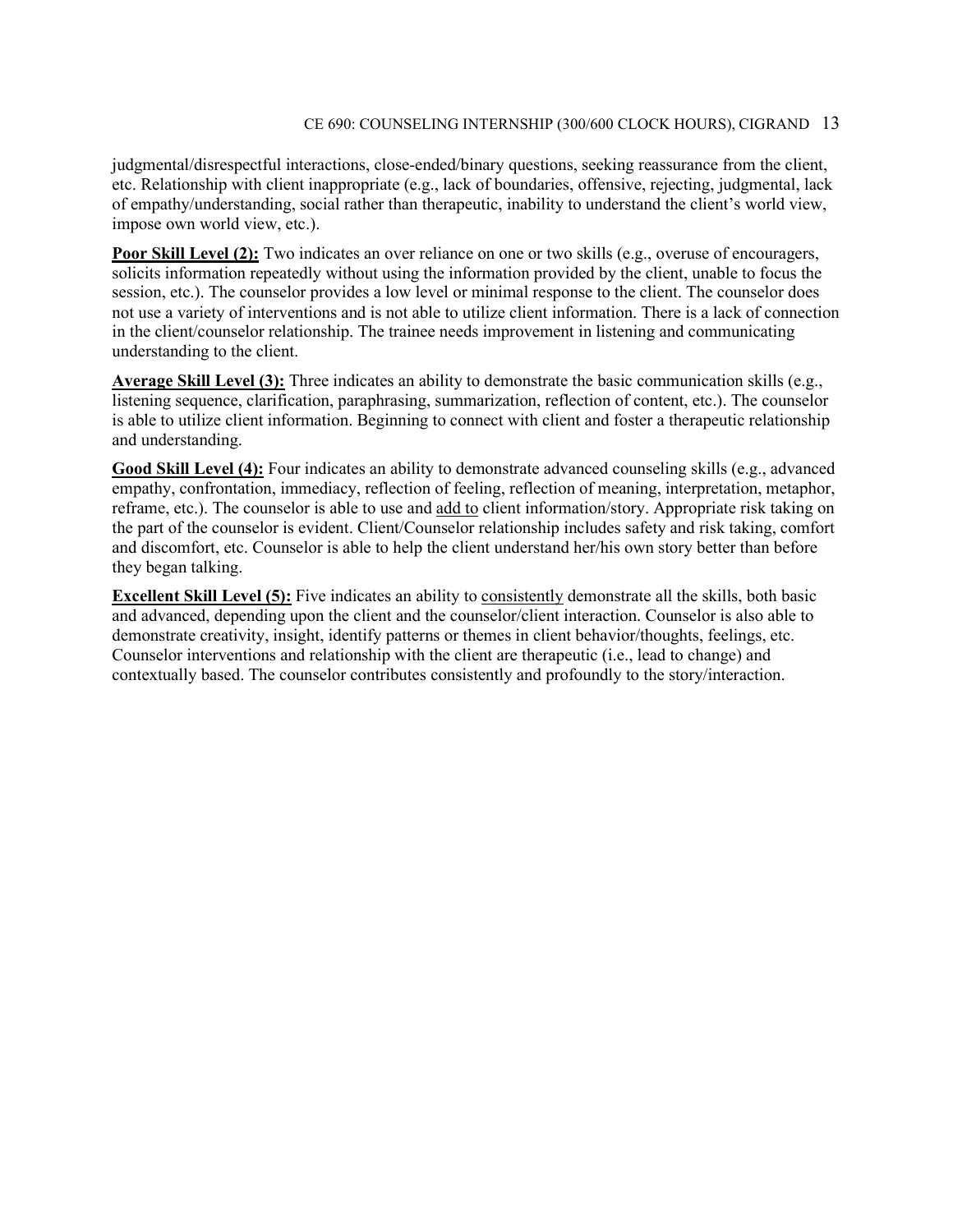judgmental/disrespectful interactions, close-ended/binary questions, seeking reassurance from the client, etc. Relationship with client inappropriate (e.g., lack of boundaries, offensive, rejecting, judgmental, lack of empathy/understanding, social rather than therapeutic, inability to understand the client's world view, impose own world view, etc.).

**Poor Skill Level (2):** Two indicates an over reliance on one or two skills (e.g., overuse of encouragers, solicits information repeatedly without using the information provided by the client, unable to focus the session, etc.). The counselor provides a low level or minimal response to the client. The counselor does not use a variety of interventions and is not able to utilize client information. There is a lack of connection in the client/counselor relationship. The trainee needs improvement in listening and communicating understanding to the client.

**Average Skill Level (3):** Three indicates an ability to demonstrate the basic communication skills (e.g., listening sequence, clarification, paraphrasing, summarization, reflection of content, etc.). The counselor is able to utilize client information. Beginning to connect with client and foster a therapeutic relationship and understanding.

**Good Skill Level (4):** Four indicates an ability to demonstrate advanced counseling skills (e.g., advanced empathy, confrontation, immediacy, reflection of feeling, reflection of meaning, interpretation, metaphor, reframe, etc.). The counselor is able to use and add to client information/story. Appropriate risk taking on the part of the counselor is evident. Client/Counselor relationship includes safety and risk taking, comfort and discomfort, etc. Counselor is able to help the client understand her/his own story better than before they began talking.

**Excellent Skill Level (5):** Five indicates an ability to consistently demonstrate all the skills, both basic and advanced, depending upon the client and the counselor/client interaction. Counselor is also able to demonstrate creativity, insight, identify patterns or themes in client behavior/thoughts, feelings, etc. Counselor interventions and relationship with the client are therapeutic (i.e., lead to change) and contextually based. The counselor contributes consistently and profoundly to the story/interaction.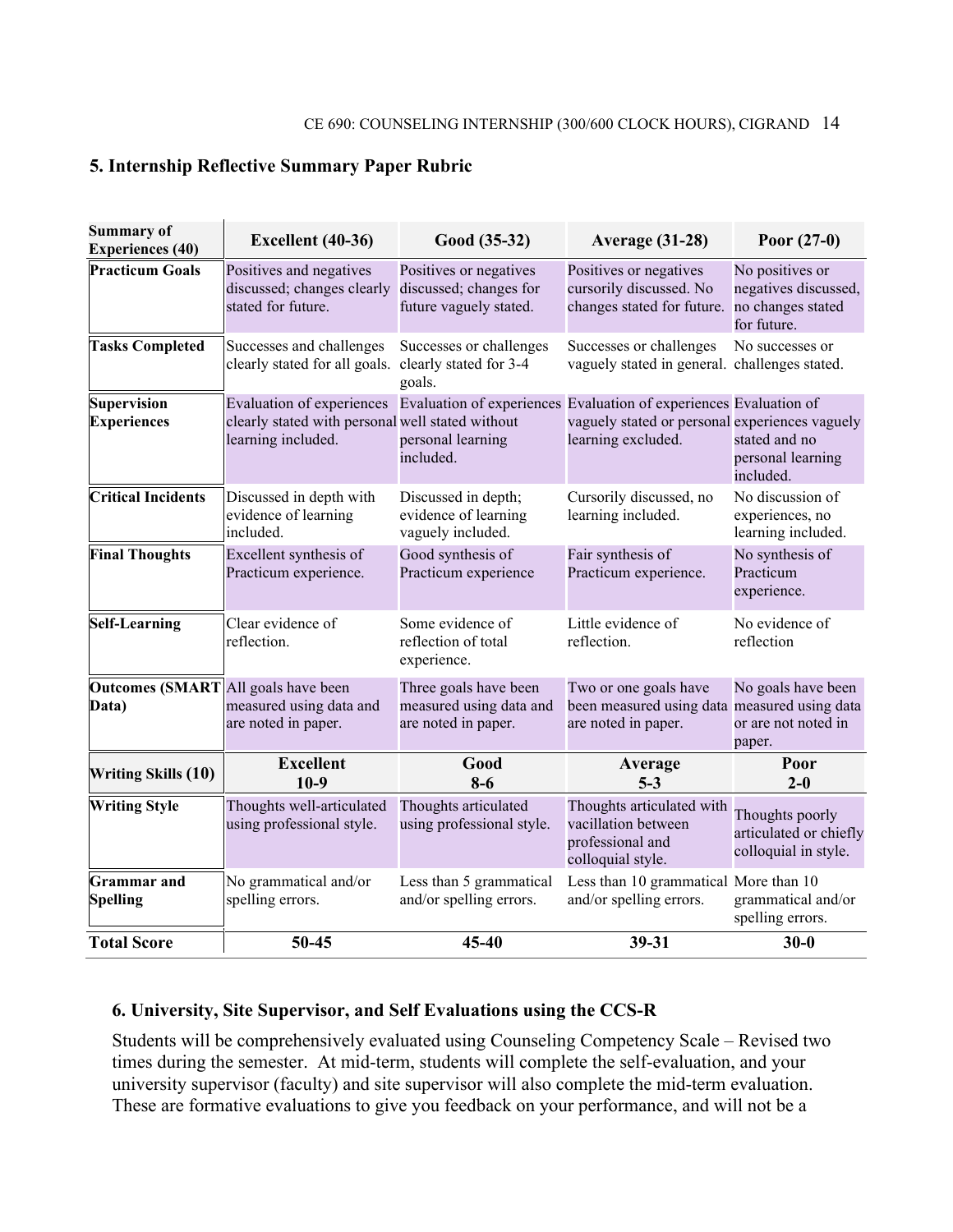#### **5. Internship Reflective Summary Paper Rubric**

| <b>Summary of</b><br><b>Experiences (40)</b> | Excellent (40-36)                                                                                                                                                     | Good (35-32)                                                               | <b>Average (31-28)</b>                                                                       | Poor $(27-0)$                                                               |
|----------------------------------------------|-----------------------------------------------------------------------------------------------------------------------------------------------------------------------|----------------------------------------------------------------------------|----------------------------------------------------------------------------------------------|-----------------------------------------------------------------------------|
| <b>Practicum Goals</b>                       | Positives and negatives<br>discussed; changes clearly<br>stated for future.                                                                                           | Positives or negatives<br>discussed; changes for<br>future vaguely stated. | Positives or negatives<br>cursorily discussed. No<br>changes stated for future.              | No positives or<br>negatives discussed,<br>no changes stated<br>for future. |
| <b>Tasks Completed</b>                       | Successes and challenges<br>clearly stated for all goals.                                                                                                             | Successes or challenges<br>clearly stated for 3-4<br>goals.                | Successes or challenges<br>vaguely stated in general. challenges stated.                     | No successes or                                                             |
| <b>Supervision</b><br><b>Experiences</b>     | Evaluation of experiences Evaluation of experiences Evaluation of experiences Evaluation of<br>clearly stated with personal well stated without<br>learning included. | personal learning<br>included.                                             | vaguely stated or personal experiences vaguely<br>learning excluded.                         | stated and no<br>personal learning<br>included.                             |
| <b>Critical Incidents</b>                    | Discussed in depth with<br>evidence of learning<br>included.                                                                                                          | Discussed in depth;<br>evidence of learning<br>vaguely included.           | Cursorily discussed, no<br>learning included.                                                | No discussion of<br>experiences, no<br>learning included.                   |
| <b>Final Thoughts</b>                        | Excellent synthesis of<br>Practicum experience.                                                                                                                       | Good synthesis of<br>Practicum experience                                  | Fair synthesis of<br>Practicum experience.                                                   | No synthesis of<br>Practicum<br>experience.                                 |
| <b>Self-Learning</b>                         | Clear evidence of<br>reflection.                                                                                                                                      | Some evidence of<br>reflection of total<br>experience.                     | Little evidence of<br>reflection.                                                            | No evidence of<br>reflection                                                |
| <b>Outcomes (SMART</b><br>Data)              | All goals have been<br>measured using data and<br>are noted in paper.                                                                                                 | Three goals have been<br>measured using data and<br>are noted in paper.    | Two or one goals have<br>been measured using data measured using data<br>are noted in paper. | No goals have been<br>or are not noted in<br>paper.                         |
| <b>Writing Skills (10)</b>                   | <b>Excellent</b><br>$10-9$                                                                                                                                            | Good<br>$8-6$                                                              | Average<br>$5 - 3$                                                                           | Poor<br>$2 - 0$                                                             |
| <b>Writing Style</b>                         | Thoughts well-articulated<br>using professional style.                                                                                                                | Thoughts articulated<br>using professional style.                          | Thoughts articulated with<br>vacillation between<br>professional and<br>colloquial style.    | Thoughts poorly<br>articulated or chiefly<br>colloquial in style.           |
| <b>Grammar</b> and<br><b>Spelling</b>        | No grammatical and/or<br>spelling errors.                                                                                                                             | Less than 5 grammatical<br>and/or spelling errors.                         | Less than 10 grammatical More than 10<br>and/or spelling errors.                             | grammatical and/or<br>spelling errors.                                      |
| <b>Total Score</b>                           | 50-45                                                                                                                                                                 | 45-40                                                                      | 39-31                                                                                        | $30 - 0$                                                                    |

#### **6. University, Site Supervisor, and Self Evaluations using the CCS-R**

Students will be comprehensively evaluated using Counseling Competency Scale – Revised two times during the semester. At mid-term, students will complete the self-evaluation, and your university supervisor (faculty) and site supervisor will also complete the mid-term evaluation. These are formative evaluations to give you feedback on your performance, and will not be a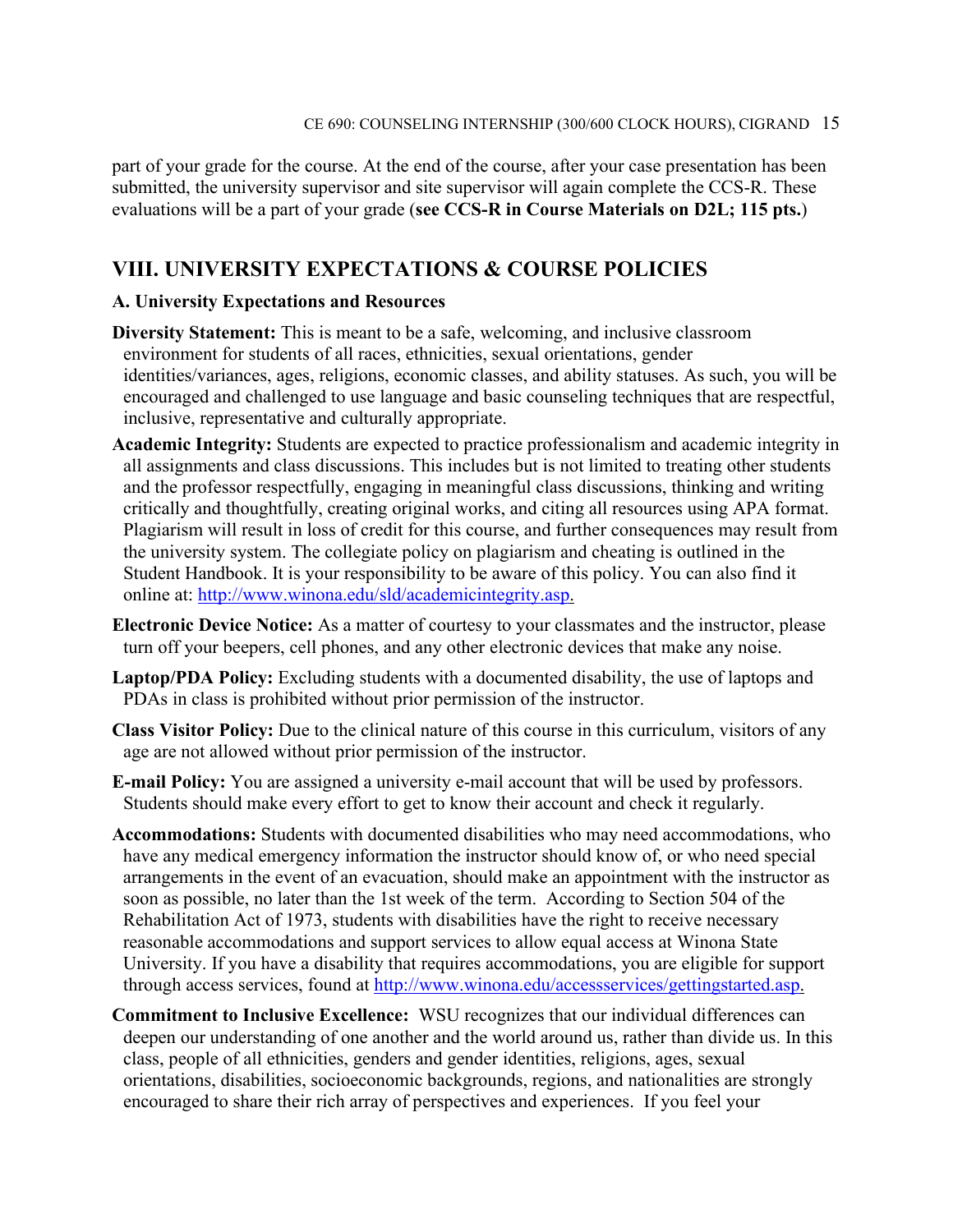part of your grade for the course. At the end of the course, after your case presentation has been submitted, the university supervisor and site supervisor will again complete the CCS-R. These evaluations will be a part of your grade (**see CCS-R in Course Materials on D2L; 115 pts.**)

### **VIII. UNIVERSITY EXPECTATIONS & COURSE POLICIES**

#### **A. University Expectations and Resources**

- **Diversity Statement:** This is meant to be a safe, welcoming, and inclusive classroom environment for students of all races, ethnicities, sexual orientations, gender identities/variances, ages, religions, economic classes, and ability statuses. As such, you will be encouraged and challenged to use language and basic counseling techniques that are respectful, inclusive, representative and culturally appropriate.
- **Academic Integrity:** Students are expected to practice professionalism and academic integrity in all assignments and class discussions. This includes but is not limited to treating other students and the professor respectfully, engaging in meaningful class discussions, thinking and writing critically and thoughtfully, creating original works, and citing all resources using APA format. Plagiarism will result in loss of credit for this course, and further consequences may result from the university system. The collegiate policy on plagiarism and cheating is outlined in the Student Handbook. It is your responsibility to be aware of this policy. You can also find it online at: [http://www.winona.edu/sld/academicintegrity.asp.](http://www.winona.edu/sld/academicintegrity.asp)
- **Electronic Device Notice:** As a matter of courtesy to your classmates and the instructor, please turn off your beepers, cell phones, and any other electronic devices that make any noise.
- **Laptop/PDA Policy:** Excluding students with a documented disability, the use of laptops and PDAs in class is prohibited without prior permission of the instructor.
- **Class Visitor Policy:** Due to the clinical nature of this course in this curriculum, visitors of any age are not allowed without prior permission of the instructor.
- **E-mail Policy:** You are assigned a university e-mail account that will be used by professors. Students should make every effort to get to know their account and check it regularly.
- **Accommodations:** Students with documented disabilities who may need accommodations, who have any medical emergency information the instructor should know of, or who need special arrangements in the event of an evacuation, should make an appointment with the instructor as soon as possible, no later than the 1st week of the term. According to Section 504 of the Rehabilitation Act of 1973, students with disabilities have the right to receive necessary reasonable accommodations and support services to allow equal access at Winona State University. If you have a disability that requires accommodations, you are eligible for support through access services, found at [http://www.winona.edu/accessservices/gettingstarted.asp.](http://www.winona.edu/accessservices/gettingstarted.asp)
- **Commitment to Inclusive Excellence:** WSU recognizes that our individual differences can deepen our understanding of one another and the world around us, rather than divide us. In this class, people of all ethnicities, genders and gender identities, religions, ages, sexual orientations, disabilities, socioeconomic backgrounds, regions, and nationalities are strongly encouraged to share their rich array of perspectives and experiences. If you feel your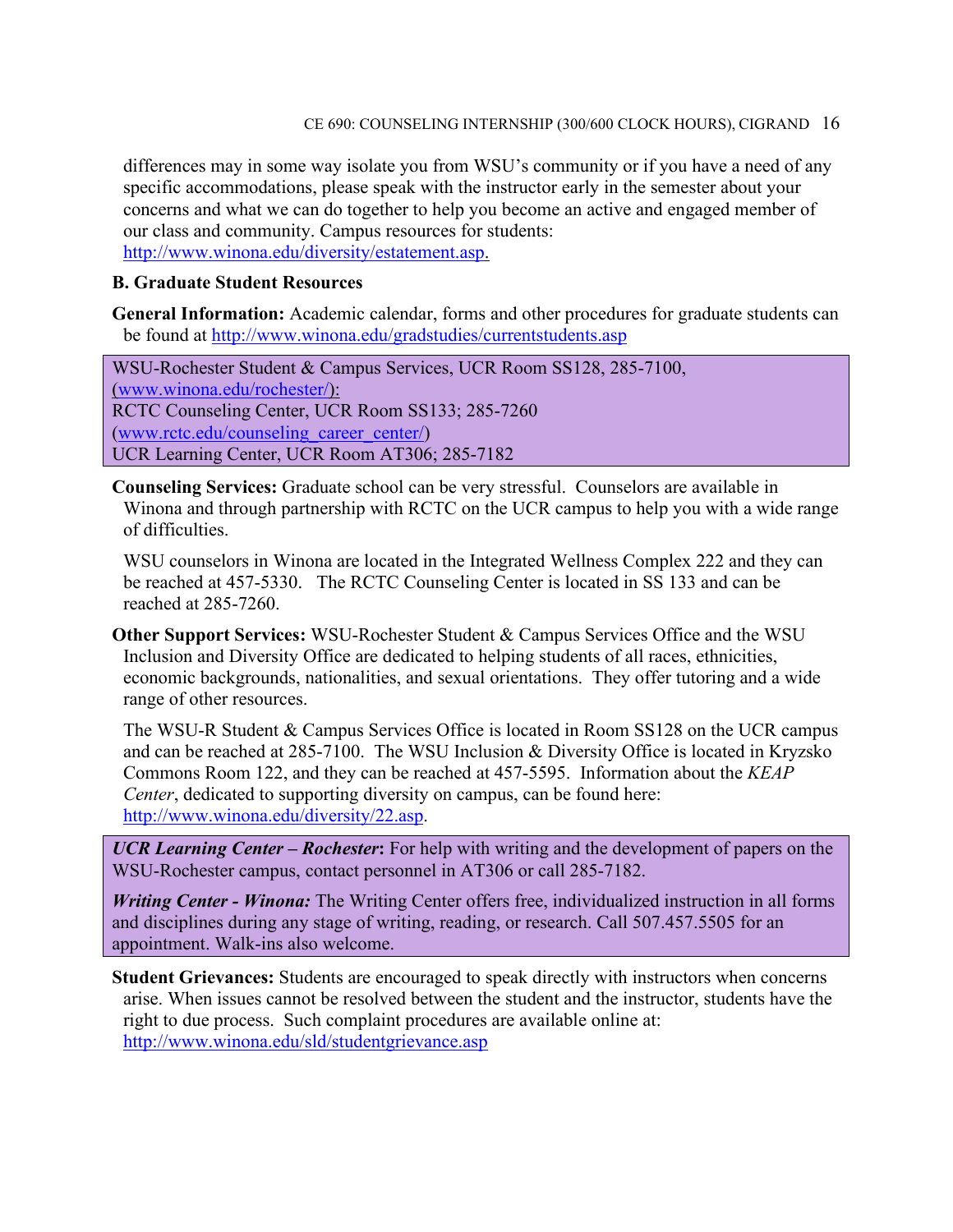differences may in some way isolate you from WSU's community or if you have a need of any specific accommodations, please speak with the instructor early in the semester about your concerns and what we can do together to help you become an active and engaged member of our class and community. Campus resources for students: [http://www.winona.edu/diversity/estatement.asp.](http://www.winona.edu/diversity/estatement.asp)

#### **B. Graduate Student Resources**

**General Information:** Academic calendar, forms and other procedures for graduate students can be found at<http://www.winona.edu/gradstudies/currentstudents.asp>

WSU-Rochester Student & Campus Services, UCR Room SS128, 285-7100, [\(www.winona.edu/rochester/\)](http://www.winona.edu/rochester/): RCTC Counseling Center, UCR Room SS133; 285-7260 [\(www.rctc.edu/counseling\\_career\\_center/\)](http://www.rctc.edu/counseling_career_center/) UCR Learning Center, UCR Room AT306; 285-7182

**Counseling Services:** Graduate school can be very stressful. Counselors are available in Winona and through partnership with RCTC on the UCR campus to help you with a wide range of difficulties.

WSU counselors in Winona are located in the Integrated Wellness Complex 222 and they can be reached at 457-5330. The RCTC Counseling Center is located in SS 133 and can be reached at 285-7260.

**Other Support Services:** WSU-Rochester Student & Campus Services Office and the WSU Inclusion and Diversity Office are dedicated to helping students of all races, ethnicities, economic backgrounds, nationalities, and sexual orientations. They offer tutoring and a wide range of other resources.

The WSU-R Student & Campus Services Office is located in Room SS128 on the UCR campus and can be reached at 285-7100. The WSU Inclusion & Diversity Office is located in Kryzsko Commons Room 122, and they can be reached at 457-5595. Information about the *KEAP Center*, dedicated to supporting diversity on campus, can be found here: [http://www.winona.edu/diversity/22.asp.](http://www.winona.edu/diversity/22.asp)

*UCR Learning Center – Rochester***:** For help with writing and the development of papers on the WSU-Rochester campus, contact personnel in AT306 or call 285-7182.

*Writing Center - Winona:* The Writing Center offers free, individualized instruction in all forms and disciplines during any stage of writing, reading, or research. Call 507.457.5505 for an appointment. Walk-ins also welcome.

**Student Grievances:** Students are encouraged to speak directly with instructors when concerns arise. When issues cannot be resolved between the student and the instructor, students have the right to due process. Such complaint procedures are available online at: <http://www.winona.edu/sld/studentgrievance.asp>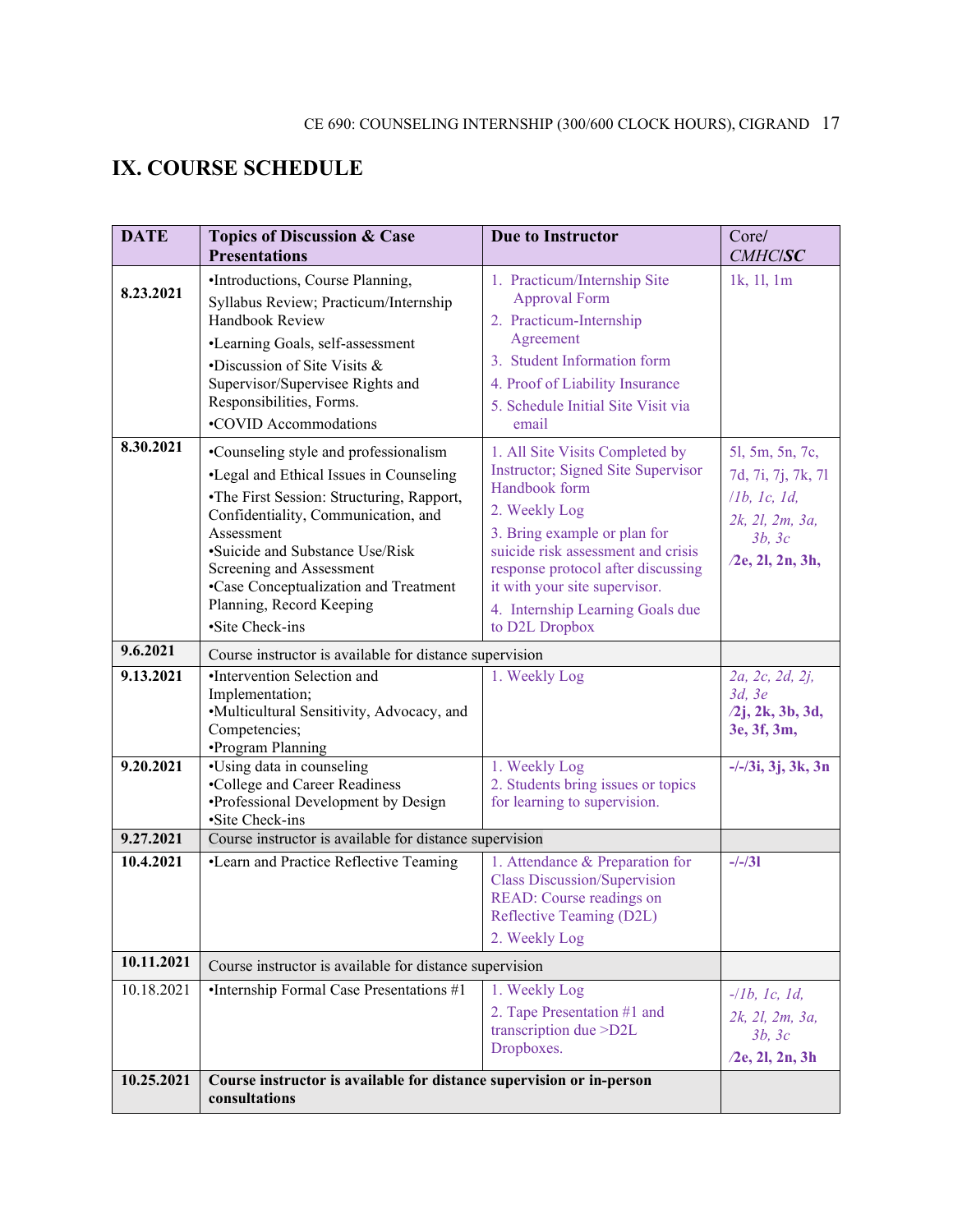### **IX. COURSE SCHEDULE**

| <b>DATE</b>              | <b>Topics of Discussion &amp; Case</b><br><b>Presentations</b>                                                                                                                                                                                                                                                                            | <b>Due to Instructor</b>                                                                                                                                                                                                                                                                                   | Core/<br><b>CMHC/SC</b>                                                                                   |  |  |
|--------------------------|-------------------------------------------------------------------------------------------------------------------------------------------------------------------------------------------------------------------------------------------------------------------------------------------------------------------------------------------|------------------------------------------------------------------------------------------------------------------------------------------------------------------------------------------------------------------------------------------------------------------------------------------------------------|-----------------------------------------------------------------------------------------------------------|--|--|
| 8.23.2021                | •Introductions, Course Planning,<br>Syllabus Review; Practicum/Internship<br>Handbook Review<br>•Learning Goals, self-assessment<br>•Discussion of Site Visits &<br>Supervisor/Supervisee Rights and<br>Responsibilities, Forms.<br>•COVID Accommodations                                                                                 | 1. Practicum/Internship Site<br><b>Approval Form</b><br>2. Practicum-Internship<br>Agreement<br>3. Student Information form<br>4. Proof of Liability Insurance<br>5. Schedule Initial Site Visit via<br>email                                                                                              | 1k, 11, 1m                                                                                                |  |  |
| 8.30.2021                | •Counseling style and professionalism<br>•Legal and Ethical Issues in Counseling<br>•The First Session: Structuring, Rapport,<br>Confidentiality, Communication, and<br>Assessment<br>•Suicide and Substance Use/Risk<br>Screening and Assessment<br>•Case Conceptualization and Treatment<br>Planning, Record Keeping<br>·Site Check-ins | 1. All Site Visits Completed by<br>Instructor; Signed Site Supervisor<br>Handbook form<br>2. Weekly Log<br>3. Bring example or plan for<br>suicide risk assessment and crisis<br>response protocol after discussing<br>it with your site supervisor.<br>4. Internship Learning Goals due<br>to D2L Dropbox | 51, 5m, 5n, 7c,<br>7d, 7i, 7j, 7k, 7l<br>11b, 1c, 1d,<br>2k, 2l, 2m, 3a,<br>3b, 3c<br>$/2e$ , 2l, 2n, 3h, |  |  |
| 9.6.2021                 | Course instructor is available for distance supervision                                                                                                                                                                                                                                                                                   |                                                                                                                                                                                                                                                                                                            |                                                                                                           |  |  |
| 9.13.2021                | •Intervention Selection and<br>Implementation;<br>•Multicultural Sensitivity, Advocacy, and<br>Competencies;<br>•Program Planning                                                                                                                                                                                                         | 1. Weekly Log                                                                                                                                                                                                                                                                                              | 2a, 2c, 2d, 2j,<br>3d, 3e<br>$/2j$ , 2k, 3b, 3d,<br>3e, 3f, 3m,                                           |  |  |
| 9.20.2021                | •Using data in counseling<br>•College and Career Readiness<br>•Professional Development by Design<br>·Site Check-ins                                                                                                                                                                                                                      | 1. Weekly Log<br>2. Students bring issues or topics<br>for learning to supervision.                                                                                                                                                                                                                        | $-/-/3i$ , 3j, 3k, 3n                                                                                     |  |  |
| 9.27.2021                | Course instructor is available for distance supervision                                                                                                                                                                                                                                                                                   |                                                                                                                                                                                                                                                                                                            |                                                                                                           |  |  |
| 10.4.2021                | •Learn and Practice Reflective Teaming                                                                                                                                                                                                                                                                                                    | 1. Attendance & Preparation for<br><b>Class Discussion/Supervision</b><br>READ: Course readings on<br>Reflective Teaming (D2L)<br>2. Weekly Log                                                                                                                                                            | $-/-/31$                                                                                                  |  |  |
| 10.11.2021               |                                                                                                                                                                                                                                                                                                                                           | Course instructor is available for distance supervision                                                                                                                                                                                                                                                    |                                                                                                           |  |  |
| 10.18.2021<br>10.25.2021 | •Internship Formal Case Presentations #1<br>Course instructor is available for distance supervision or in-person                                                                                                                                                                                                                          | 1. Weekly Log<br>2. Tape Presentation #1 and<br>transcription due >D2L<br>Dropboxes.                                                                                                                                                                                                                       | $-llb, lc, Id,$<br>2k, 2l, 2m, 3a,<br>3b, 3c<br>$/2e$ , 2l, 2n, 3h                                        |  |  |
|                          | consultations                                                                                                                                                                                                                                                                                                                             |                                                                                                                                                                                                                                                                                                            |                                                                                                           |  |  |